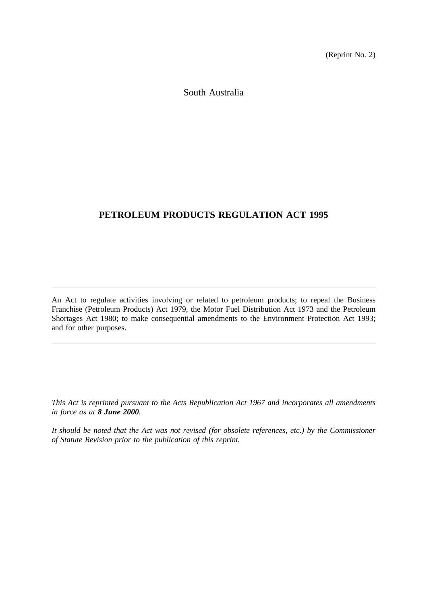(Reprint No. 2)

South Australia

# **PETROLEUM PRODUCTS REGULATION ACT 1995**

An Act to regulate activities involving or related to petroleum products; to repeal the Business Franchise (Petroleum Products) Act 1979, the Motor Fuel Distribution Act 1973 and the Petroleum Shortages Act 1980; to make consequential amendments to the Environment Protection Act 1993; and for other purposes.

*This Act is reprinted pursuant to the Acts Republication Act 1967 and incorporates all amendments in force as at 8 June 2000.*

*It should be noted that the Act was not revised (for obsolete references, etc.) by the Commissioner of Statute Revision prior to the publication of this reprint.*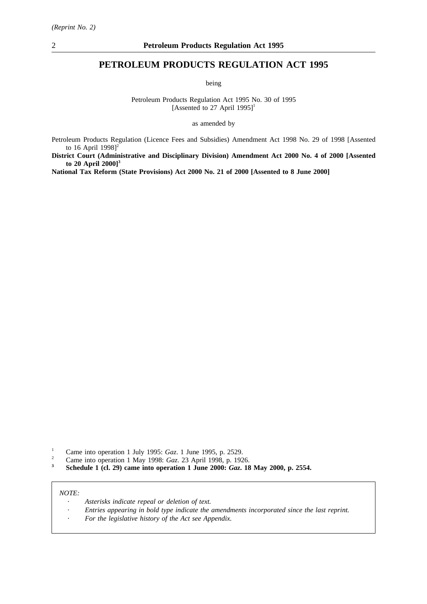# **PETROLEUM PRODUCTS REGULATION ACT 1995**

being

Petroleum Products Regulation Act 1995 No. 30 of 1995 [Assented to 27 April 1995]<sup>1</sup>

as amended by

Petroleum Products Regulation (Licence Fees and Subsidies) Amendment Act 1998 No. 29 of 1998 [Assented to 16 April 1998] $<sup>2</sup>$ </sup>

**District Court (Administrative and Disciplinary Division) Amendment Act 2000 No. 4 of 2000 [Assented to 20 April 2000]3**

**National Tax Reform (State Provisions) Act 2000 No. 21 of 2000 [Assented to 8 June 2000]**

- <sup>1</sup> Came into operation 1 July 1995: *Gaz*. 1 June 1995, p. 2529.<br><sup>2</sup> Came into operation 1 May 1998: *Gaz*. 23 April 1998, p. 192
- <sup>2</sup> Came into operation 1 May 1998: *Gaz*. 23 April 1998, p. 1926.<br> **3** Schedule 1 (cl. 20) come into operation 1 June 2000: *Gaz* 18
- **<sup>3</sup> Schedule 1 (cl. 29) came into operation 1 June 2000:** *Gaz***. 18 May 2000, p. 2554.**

*NOTE:*

- *Asterisks indicate repeal or deletion of text.*
- *Entries appearing in bold type indicate the amendments incorporated since the last reprint.*
- *For the legislative history of the Act see Appendix.*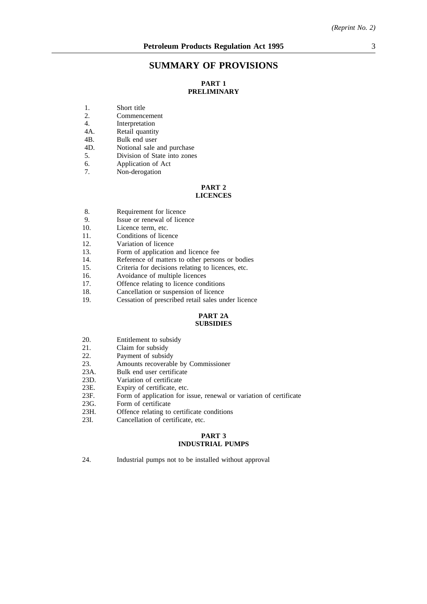# **SUMMARY OF PROVISIONS**

# **PART 1 PRELIMINARY**

- 1. Short title<br>2. Commence
- 2. Commencement<br>4. Interpretation
- 4. Interpretation<br>4A. Retail quantity
- 4A. Retail quantity<br>4B. Bulk end user
- Bulk end user
- 4D. Notional sale and purchase
- 5. Division of State into zones
- 6. Application of Act
- 7. Non-derogation

#### **PART 2 LICENCES**

- 8. Requirement for licence
- 9. Issue or renewal of licence
- 10. Licence term, etc.
- 11. Conditions of licence
- 12. Variation of licence
- 13. Form of application and licence fee
- 14. Reference of matters to other persons or bodies
- 15. Criteria for decisions relating to licences, etc.
- 16. Avoidance of multiple licences
- 17. Offence relating to licence conditions
- 18. Cancellation or suspension of licence
- 19. Cessation of prescribed retail sales under licence

#### **PART 2A SUBSIDIES**

- 20. Entitlement to subsidy
- 
- 21. Claim for subsidy<br>22. Payment of subsid Payment of subsidy
- 23. Amounts recoverable by Commissioner
- 23A. Bulk end user certificate
- 23D. Variation of certificate<br>23E. Expiry of certificate, et
- 23E. Expiry of certificate, etc.<br>23F. Form of application for is
- 23F. Form of application for issue, renewal or variation of certificate 23G. Form of certificate
- 23G. Form of certificate<br>23H. Offence relating to
- Offence relating to certificate conditions
- 23I. Cancellation of certificate, etc.

## **PART 3 INDUSTRIAL PUMPS**

24. Industrial pumps not to be installed without approval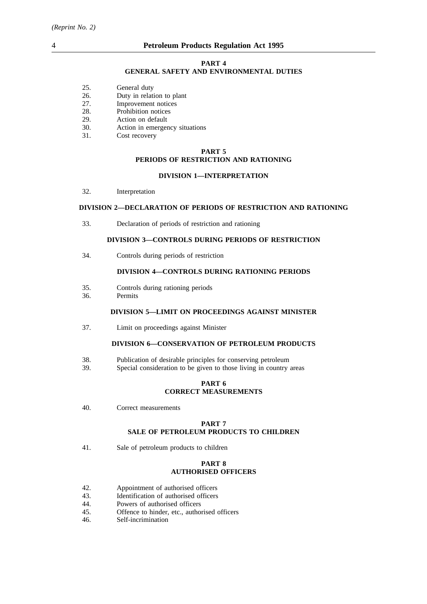#### **PART 4 GENERAL SAFETY AND ENVIRONMENTAL DUTIES**

- 25. General duty
- 26. Duty in relation to plant
- 27. Improvement notices
- 28. Prohibition notices
- 29. Action on default
- 30. Action in emergency situations
- 31. Cost recovery

# **PART 5 PERIODS OF RESTRICTION AND RATIONING**

#### **DIVISION 1—INTERPRETATION**

32. Interpretation

#### **DIVISION 2—DECLARATION OF PERIODS OF RESTRICTION AND RATIONING**

33. Declaration of periods of restriction and rationing

#### **DIVISION 3—CONTROLS DURING PERIODS OF RESTRICTION**

34. Controls during periods of restriction

#### **DIVISION 4—CONTROLS DURING RATIONING PERIODS**

- 35. Controls during rationing periods
- 36. Permits

## **DIVISION 5—LIMIT ON PROCEEDINGS AGAINST MINISTER**

37. Limit on proceedings against Minister

# **DIVISION 6—CONSERVATION OF PETROLEUM PRODUCTS**

- 38. Publication of desirable principles for conserving petroleum
- 39. Special consideration to be given to those living in country areas

### **PART 6 CORRECT MEASUREMENTS**

40. Correct measurements

### **PART 7 SALE OF PETROLEUM PRODUCTS TO CHILDREN**

41. Sale of petroleum products to children

#### **PART 8 AUTHORISED OFFICERS**

- 42. Appointment of authorised officers
- 43. Identification of authorised officers
- 44. Powers of authorised officers
- 45. Offence to hinder, etc., authorised officers
- 46. Self-incrimination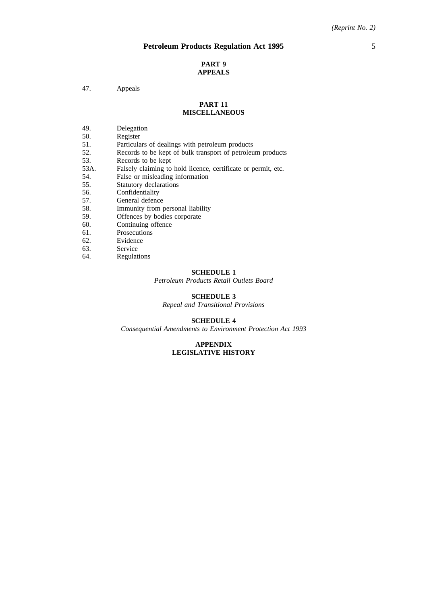#### **PART 9 APPEALS**

#### 47. Appeals

#### **PART 11 MISCELLANEOUS**

- 49. Delegation<br>50. Register
- 50. Register<br>51. Particula
- Particulars of dealings with petroleum products
- 52. Records to be kept of bulk transport of petroleum products<br>53. Records to be kept
- Records to be kept
- 53A. Falsely claiming to hold licence, certificate or permit, etc.<br>54. False or misleading information
- 54. False or misleading information<br>55. Statutory declarations
- 55. Statutory declarations<br>56. Confidentiality
- 56. Confidentiality<br>57. General defence
- 57. General defence<br>58. Immunity from p
- 58. Immunity from personal liability<br>59. Offences by bodies corporate
- 59. Offences by bodies corporate<br>60. Continuing offence
- Continuing offence
- 61. Prosecutions<br>62. Evidence
- 62. Evidence<br>63. Service
- 63. Service<br>64. Regulati
- **Regulations**

# **SCHEDULE 1**

*Petroleum Products Retail Outlets Board*

# **SCHEDULE 3**

*Repeal and Transitional Provisions*

## **SCHEDULE 4**

*Consequential Amendments to Environment Protection Act 1993*

#### **APPENDIX LEGISLATIVE HISTORY**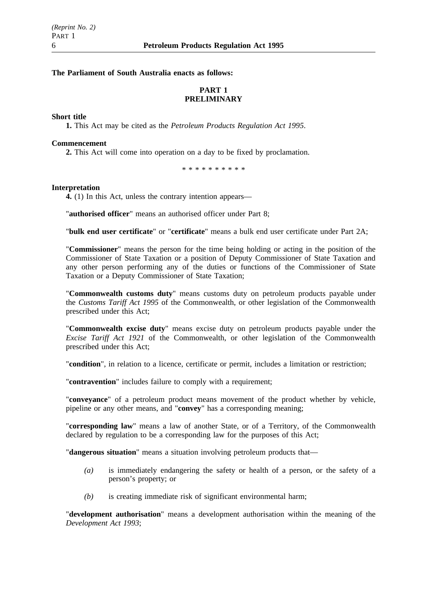## **The Parliament of South Australia enacts as follows:**

# **PART 1 PRELIMINARY**

#### **Short title**

**1.** This Act may be cited as the *Petroleum Products Regulation Act 1995*.

#### **Commencement**

**2.** This Act will come into operation on a day to be fixed by proclamation.

\*\*\*\*\*\*\*\*\*\*

#### **Interpretation**

**4.** (1) In this Act, unless the contrary intention appears—

"**authorised officer**" means an authorised officer under Part 8;

"**bulk end user certificate**" or "**certificate**" means a bulk end user certificate under Part 2A;

"**Commissioner**" means the person for the time being holding or acting in the position of the Commissioner of State Taxation or a position of Deputy Commissioner of State Taxation and any other person performing any of the duties or functions of the Commissioner of State Taxation or a Deputy Commissioner of State Taxation;

"**Commonwealth customs duty**" means customs duty on petroleum products payable under the *Customs Tariff Act 1995* of the Commonwealth, or other legislation of the Commonwealth prescribed under this Act;

"**Commonwealth excise duty**" means excise duty on petroleum products payable under the *Excise Tariff Act 1921* of the Commonwealth, or other legislation of the Commonwealth prescribed under this Act;

"**condition**", in relation to a licence, certificate or permit, includes a limitation or restriction;

"**contravention**" includes failure to comply with a requirement;

"**conveyance**" of a petroleum product means movement of the product whether by vehicle, pipeline or any other means, and "**convey**" has a corresponding meaning;

"**corresponding law**" means a law of another State, or of a Territory, of the Commonwealth declared by regulation to be a corresponding law for the purposes of this Act;

"**dangerous situation**" means a situation involving petroleum products that—

- *(a)* is immediately endangering the safety or health of a person, or the safety of a person's property; or
- *(b)* is creating immediate risk of significant environmental harm;

"**development authorisation**" means a development authorisation within the meaning of the *Development Act 1993*;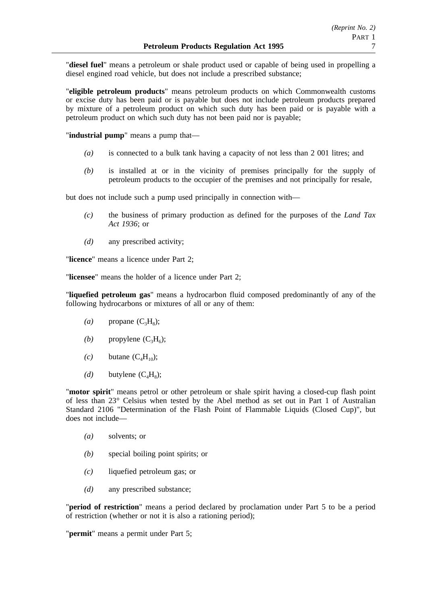"**diesel fuel**" means a petroleum or shale product used or capable of being used in propelling a diesel engined road vehicle, but does not include a prescribed substance;

"**eligible petroleum products**" means petroleum products on which Commonwealth customs or excise duty has been paid or is payable but does not include petroleum products prepared by mixture of a petroleum product on which such duty has been paid or is payable with a petroleum product on which such duty has not been paid nor is payable;

"**industrial pump**" means a pump that—

- *(a)* is connected to a bulk tank having a capacity of not less than 2 001 litres; and
- *(b)* is installed at or in the vicinity of premises principally for the supply of petroleum products to the occupier of the premises and not principally for resale,

but does not include such a pump used principally in connection with—

- *(c)* the business of primary production as defined for the purposes of the *Land Tax Act 1936*; or
- *(d)* any prescribed activity;

"**licence**" means a licence under Part 2;

"**licensee**" means the holder of a licence under Part 2;

"**liquefied petroleum gas**" means a hydrocarbon fluid composed predominantly of any of the following hydrocarbons or mixtures of all or any of them:

- $(a)$  propane  $(C_3H_8)$ ;
- *(b)* propylene  $(C_3H_6)$ ;
- $(c)$  butane  $(C_4H_{10})$ ;
- $(d)$  butylene  $(C_4H_8)$ ;

"**motor spirit**" means petrol or other petroleum or shale spirit having a closed-cup flash point of less than 23° Celsius when tested by the Abel method as set out in Part 1 of Australian Standard 2106 "Determination of the Flash Point of Flammable Liquids (Closed Cup)", but does not include—

- *(a)* solvents; or
- *(b)* special boiling point spirits; or
- *(c)* liquefied petroleum gas; or
- *(d)* any prescribed substance;

"**period of restriction**" means a period declared by proclamation under Part 5 to be a period of restriction (whether or not it is also a rationing period);

"**permit**" means a permit under Part 5;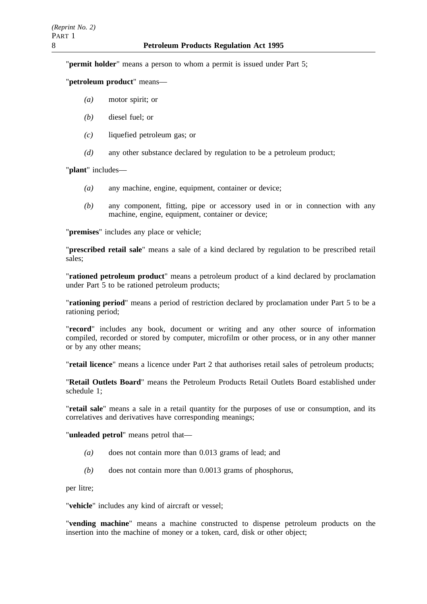"**permit holder**" means a person to whom a permit is issued under Part 5;

"**petroleum product**" means—

- *(a)* motor spirit; or
- *(b)* diesel fuel; or
- *(c)* liquefied petroleum gas; or
- *(d)* any other substance declared by regulation to be a petroleum product;

"**plant**" includes—

- *(a)* any machine, engine, equipment, container or device;
- *(b)* any component, fitting, pipe or accessory used in or in connection with any machine, engine, equipment, container or device;

"**premises**" includes any place or vehicle;

"**prescribed retail sale**" means a sale of a kind declared by regulation to be prescribed retail sales;

"**rationed petroleum product**" means a petroleum product of a kind declared by proclamation under Part 5 to be rationed petroleum products;

"**rationing period**" means a period of restriction declared by proclamation under Part 5 to be a rationing period;

"**record**" includes any book, document or writing and any other source of information compiled, recorded or stored by computer, microfilm or other process, or in any other manner or by any other means;

"**retail licence**" means a licence under Part 2 that authorises retail sales of petroleum products;

"**Retail Outlets Board**" means the Petroleum Products Retail Outlets Board established under schedule 1;

"**retail sale**" means a sale in a retail quantity for the purposes of use or consumption, and its correlatives and derivatives have corresponding meanings;

"**unleaded petrol**" means petrol that—

- *(a)* does not contain more than 0.013 grams of lead; and
- *(b)* does not contain more than 0.0013 grams of phosphorus,

per litre;

"**vehicle**" includes any kind of aircraft or vessel;

"**vending machine**" means a machine constructed to dispense petroleum products on the insertion into the machine of money or a token, card, disk or other object;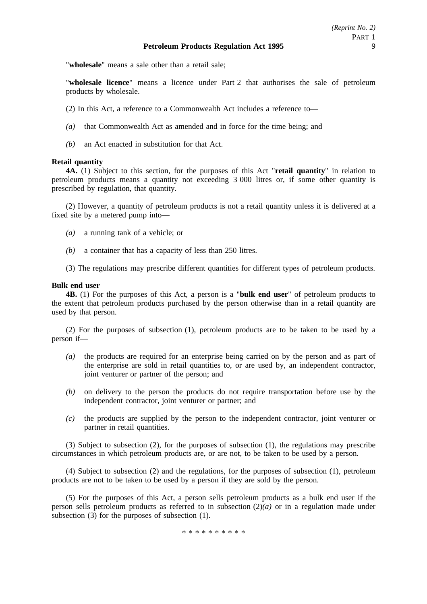"**wholesale**" means a sale other than a retail sale;

"**wholesale licence**" means a licence under Part 2 that authorises the sale of petroleum products by wholesale.

- (2) In this Act, a reference to a Commonwealth Act includes a reference to—
- *(a)* that Commonwealth Act as amended and in force for the time being; and
- *(b)* an Act enacted in substitution for that Act.

### **Retail quantity**

**4A.** (1) Subject to this section, for the purposes of this Act "**retail quantity**" in relation to petroleum products means a quantity not exceeding 3 000 litres or, if some other quantity is prescribed by regulation, that quantity.

(2) However, a quantity of petroleum products is not a retail quantity unless it is delivered at a fixed site by a metered pump into—

- *(a)* a running tank of a vehicle; or
- *(b)* a container that has a capacity of less than 250 litres.
- (3) The regulations may prescribe different quantities for different types of petroleum products.

### **Bulk end user**

**4B.** (1) For the purposes of this Act, a person is a "**bulk end user**" of petroleum products to the extent that petroleum products purchased by the person otherwise than in a retail quantity are used by that person.

(2) For the purposes of subsection (1), petroleum products are to be taken to be used by a person if—

- *(a)* the products are required for an enterprise being carried on by the person and as part of the enterprise are sold in retail quantities to, or are used by, an independent contractor, joint venturer or partner of the person; and
- *(b)* on delivery to the person the products do not require transportation before use by the independent contractor, joint venturer or partner; and
- *(c)* the products are supplied by the person to the independent contractor, joint venturer or partner in retail quantities.

(3) Subject to subsection (2), for the purposes of subsection (1), the regulations may prescribe circumstances in which petroleum products are, or are not, to be taken to be used by a person.

(4) Subject to subsection (2) and the regulations, for the purposes of subsection (1), petroleum products are not to be taken to be used by a person if they are sold by the person.

(5) For the purposes of this Act, a person sells petroleum products as a bulk end user if the person sells petroleum products as referred to in subsection (2)*(a)* or in a regulation made under subsection (3) for the purposes of subsection (1).

\*\*\*\*\*\*\*\*\*\*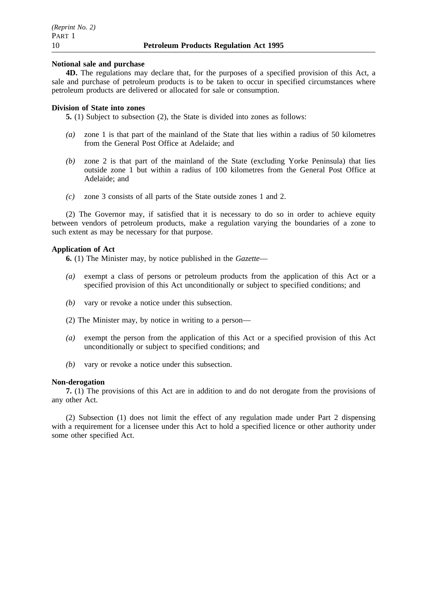#### **Notional sale and purchase**

**4D.** The regulations may declare that, for the purposes of a specified provision of this Act, a sale and purchase of petroleum products is to be taken to occur in specified circumstances where petroleum products are delivered or allocated for sale or consumption.

#### **Division of State into zones**

**5.** (1) Subject to subsection (2), the State is divided into zones as follows:

- *(a)* zone 1 is that part of the mainland of the State that lies within a radius of 50 kilometres from the General Post Office at Adelaide; and
- *(b)* zone 2 is that part of the mainland of the State (excluding Yorke Peninsula) that lies outside zone 1 but within a radius of 100 kilometres from the General Post Office at Adelaide; and
- *(c)* zone 3 consists of all parts of the State outside zones 1 and 2.

(2) The Governor may, if satisfied that it is necessary to do so in order to achieve equity between vendors of petroleum products, make a regulation varying the boundaries of a zone to such extent as may be necessary for that purpose.

#### **Application of Act**

**6.** (1) The Minister may, by notice published in the *Gazette*—

- *(a)* exempt a class of persons or petroleum products from the application of this Act or a specified provision of this Act unconditionally or subject to specified conditions; and
- *(b)* vary or revoke a notice under this subsection.
- (2) The Minister may, by notice in writing to a person—
- *(a)* exempt the person from the application of this Act or a specified provision of this Act unconditionally or subject to specified conditions; and
- *(b)* vary or revoke a notice under this subsection.

#### **Non-derogation**

**7.** (1) The provisions of this Act are in addition to and do not derogate from the provisions of any other Act.

(2) Subsection (1) does not limit the effect of any regulation made under Part 2 dispensing with a requirement for a licensee under this Act to hold a specified licence or other authority under some other specified Act.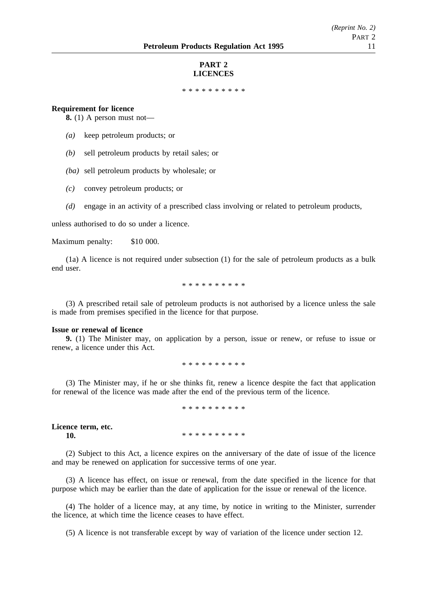#### **PART 2 LICENCES**

\*\*\*\*\*\*\*\*\*\*\*\*\*\*\*\*\*

#### **Requirement for licence**

**8.** (1) A person must not—

- *(a)* keep petroleum products; or
- *(b)* sell petroleum products by retail sales; or
- *(ba)* sell petroleum products by wholesale; or
- *(c)* convey petroleum products; or
- *(d)* engage in an activity of a prescribed class involving or related to petroleum products,

unless authorised to do so under a licence.

Maximum penalty: \$10 000.

(1a) A licence is not required under subsection (1) for the sale of petroleum products as a bulk end user.

\*\*\*\*\*\*\*\*\*\*

(3) A prescribed retail sale of petroleum products is not authorised by a licence unless the sale is made from premises specified in the licence for that purpose.

#### **Issue or renewal of licence**

**9.** (1) The Minister may, on application by a person, issue or renew, or refuse to issue or renew, a licence under this Act.

\*\*\*\*\*\*\*\*\*\*

(3) The Minister may, if he or she thinks fit, renew a licence despite the fact that application for renewal of the licence was made after the end of the previous term of the licence.

\*\*\*\*\*\*\*\*\*\*

**Licence term, etc. 10.** \*\*\*\*\*\*\*\*\*\*\*

(2) Subject to this Act, a licence expires on the anniversary of the date of issue of the licence and may be renewed on application for successive terms of one year.

(3) A licence has effect, on issue or renewal, from the date specified in the licence for that purpose which may be earlier than the date of application for the issue or renewal of the licence.

(4) The holder of a licence may, at any time, by notice in writing to the Minister, surrender the licence, at which time the licence ceases to have effect.

(5) A licence is not transferable except by way of variation of the licence under section 12.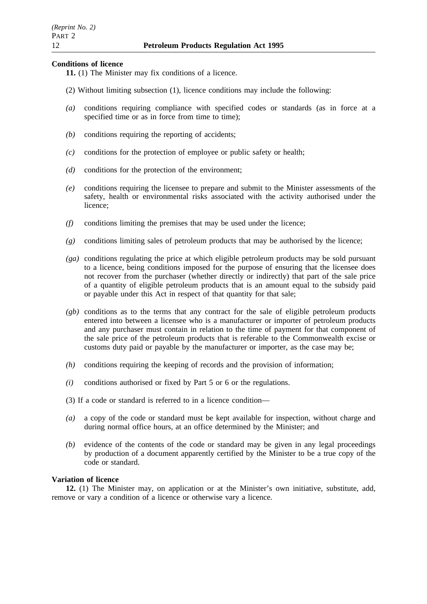## **Conditions of licence**

- **11.** (1) The Minister may fix conditions of a licence.
- (2) Without limiting subsection (1), licence conditions may include the following:
- *(a)* conditions requiring compliance with specified codes or standards (as in force at a specified time or as in force from time to time):
- *(b)* conditions requiring the reporting of accidents;
- *(c)* conditions for the protection of employee or public safety or health;
- *(d)* conditions for the protection of the environment;
- *(e)* conditions requiring the licensee to prepare and submit to the Minister assessments of the safety, health or environmental risks associated with the activity authorised under the licence;
- *(f)* conditions limiting the premises that may be used under the licence;
- *(g)* conditions limiting sales of petroleum products that may be authorised by the licence;
- *(ga)* conditions regulating the price at which eligible petroleum products may be sold pursuant to a licence, being conditions imposed for the purpose of ensuring that the licensee does not recover from the purchaser (whether directly or indirectly) that part of the sale price of a quantity of eligible petroleum products that is an amount equal to the subsidy paid or payable under this Act in respect of that quantity for that sale;
- *(gb)* conditions as to the terms that any contract for the sale of eligible petroleum products entered into between a licensee who is a manufacturer or importer of petroleum products and any purchaser must contain in relation to the time of payment for that component of the sale price of the petroleum products that is referable to the Commonwealth excise or customs duty paid or payable by the manufacturer or importer, as the case may be;
- *(h)* conditions requiring the keeping of records and the provision of information;
- *(i)* conditions authorised or fixed by Part 5 or 6 or the regulations.
- (3) If a code or standard is referred to in a licence condition—
- *(a)* a copy of the code or standard must be kept available for inspection, without charge and during normal office hours, at an office determined by the Minister; and
- *(b)* evidence of the contents of the code or standard may be given in any legal proceedings by production of a document apparently certified by the Minister to be a true copy of the code or standard.

## **Variation of licence**

**12.** (1) The Minister may, on application or at the Minister's own initiative, substitute, add, remove or vary a condition of a licence or otherwise vary a licence.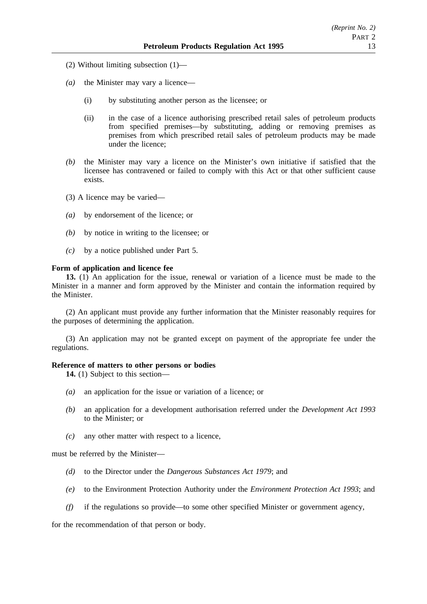- (2) Without limiting subsection (1)—
- *(a)* the Minister may vary a licence—
	- (i) by substituting another person as the licensee; or
	- (ii) in the case of a licence authorising prescribed retail sales of petroleum products from specified premises—by substituting, adding or removing premises as premises from which prescribed retail sales of petroleum products may be made under the licence;
- *(b)* the Minister may vary a licence on the Minister's own initiative if satisfied that the licensee has contravened or failed to comply with this Act or that other sufficient cause exists.
- (3) A licence may be varied—
- *(a)* by endorsement of the licence; or
- *(b)* by notice in writing to the licensee; or
- *(c)* by a notice published under Part 5.

#### **Form of application and licence fee**

**13.** (1) An application for the issue, renewal or variation of a licence must be made to the Minister in a manner and form approved by the Minister and contain the information required by the Minister.

(2) An applicant must provide any further information that the Minister reasonably requires for the purposes of determining the application.

(3) An application may not be granted except on payment of the appropriate fee under the regulations.

## **Reference of matters to other persons or bodies**

**14.** (1) Subject to this section—

- *(a)* an application for the issue or variation of a licence; or
- *(b)* an application for a development authorisation referred under the *Development Act 1993* to the Minister; or
- *(c)* any other matter with respect to a licence,

must be referred by the Minister—

- *(d)* to the Director under the *Dangerous Substances Act 1979*; and
- *(e)* to the Environment Protection Authority under the *Environment Protection Act 1993*; and
- *(f)* if the regulations so provide—to some other specified Minister or government agency,

for the recommendation of that person or body.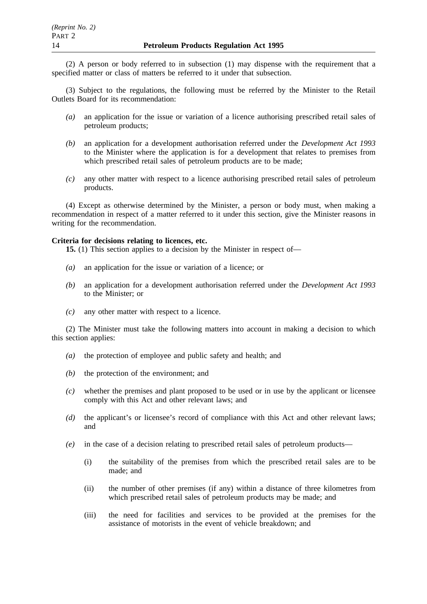(2) A person or body referred to in subsection (1) may dispense with the requirement that a specified matter or class of matters be referred to it under that subsection.

(3) Subject to the regulations, the following must be referred by the Minister to the Retail Outlets Board for its recommendation:

- *(a)* an application for the issue or variation of a licence authorising prescribed retail sales of petroleum products;
- *(b)* an application for a development authorisation referred under the *Development Act 1993* to the Minister where the application is for a development that relates to premises from which prescribed retail sales of petroleum products are to be made;
- *(c)* any other matter with respect to a licence authorising prescribed retail sales of petroleum products.

(4) Except as otherwise determined by the Minister, a person or body must, when making a recommendation in respect of a matter referred to it under this section, give the Minister reasons in writing for the recommendation.

### **Criteria for decisions relating to licences, etc.**

**15.** (1) This section applies to a decision by the Minister in respect of—

- *(a)* an application for the issue or variation of a licence; or
- *(b)* an application for a development authorisation referred under the *Development Act 1993* to the Minister; or
- *(c)* any other matter with respect to a licence.

(2) The Minister must take the following matters into account in making a decision to which this section applies:

- *(a)* the protection of employee and public safety and health; and
- *(b)* the protection of the environment; and
- *(c)* whether the premises and plant proposed to be used or in use by the applicant or licensee comply with this Act and other relevant laws; and
- *(d)* the applicant's or licensee's record of compliance with this Act and other relevant laws; and
- *(e)* in the case of a decision relating to prescribed retail sales of petroleum products—
	- (i) the suitability of the premises from which the prescribed retail sales are to be made; and
	- (ii) the number of other premises (if any) within a distance of three kilometres from which prescribed retail sales of petroleum products may be made; and
	- (iii) the need for facilities and services to be provided at the premises for the assistance of motorists in the event of vehicle breakdown; and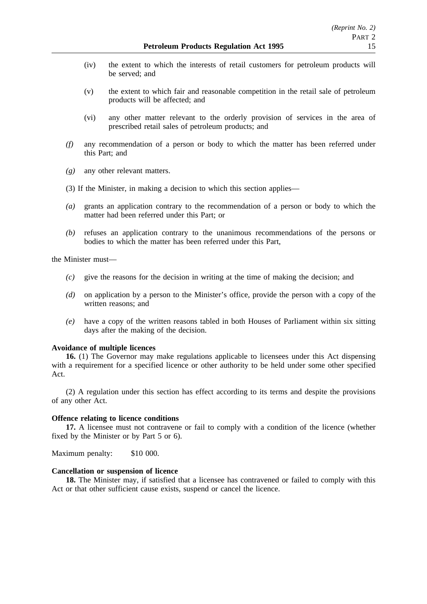- (iv) the extent to which the interests of retail customers for petroleum products will be served; and
- (v) the extent to which fair and reasonable competition in the retail sale of petroleum products will be affected; and
- (vi) any other matter relevant to the orderly provision of services in the area of prescribed retail sales of petroleum products; and
- *(f)* any recommendation of a person or body to which the matter has been referred under this Part; and
- *(g)* any other relevant matters.
- (3) If the Minister, in making a decision to which this section applies—
- *(a)* grants an application contrary to the recommendation of a person or body to which the matter had been referred under this Part; or
- *(b)* refuses an application contrary to the unanimous recommendations of the persons or bodies to which the matter has been referred under this Part,

the Minister must—

- *(c)* give the reasons for the decision in writing at the time of making the decision; and
- *(d)* on application by a person to the Minister's office, provide the person with a copy of the written reasons; and
- *(e)* have a copy of the written reasons tabled in both Houses of Parliament within six sitting days after the making of the decision.

### **Avoidance of multiple licences**

**16.** (1) The Governor may make regulations applicable to licensees under this Act dispensing with a requirement for a specified licence or other authority to be held under some other specified Act.

(2) A regulation under this section has effect according to its terms and despite the provisions of any other Act.

### **Offence relating to licence conditions**

**17.** A licensee must not contravene or fail to comply with a condition of the licence (whether fixed by the Minister or by Part 5 or 6).

Maximum penalty: \$10 000.

### **Cancellation or suspension of licence**

**18.** The Minister may, if satisfied that a licensee has contravened or failed to comply with this Act or that other sufficient cause exists, suspend or cancel the licence.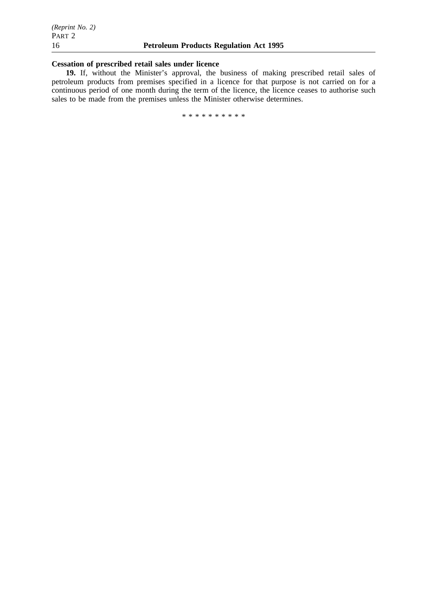# **Cessation of prescribed retail sales under licence**

**19.** If, without the Minister's approval, the business of making prescribed retail sales of petroleum products from premises specified in a licence for that purpose is not carried on for a continuous period of one month during the term of the licence, the licence ceases to authorise such sales to be made from the premises unless the Minister otherwise determines.

\*\*\*\*\*\*\*\*\*\*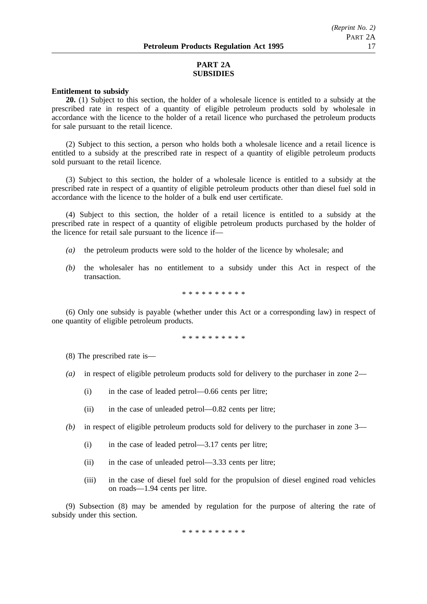# **PART 2A SUBSIDIES**

# **Entitlement to subsidy**

**20.** (1) Subject to this section, the holder of a wholesale licence is entitled to a subsidy at the prescribed rate in respect of a quantity of eligible petroleum products sold by wholesale in accordance with the licence to the holder of a retail licence who purchased the petroleum products for sale pursuant to the retail licence.

(2) Subject to this section, a person who holds both a wholesale licence and a retail licence is entitled to a subsidy at the prescribed rate in respect of a quantity of eligible petroleum products sold pursuant to the retail licence.

(3) Subject to this section, the holder of a wholesale licence is entitled to a subsidy at the prescribed rate in respect of a quantity of eligible petroleum products other than diesel fuel sold in accordance with the licence to the holder of a bulk end user certificate.

(4) Subject to this section, the holder of a retail licence is entitled to a subsidy at the prescribed rate in respect of a quantity of eligible petroleum products purchased by the holder of the licence for retail sale pursuant to the licence if—

- *(a)* the petroleum products were sold to the holder of the licence by wholesale; and
- *(b)* the wholesaler has no entitlement to a subsidy under this Act in respect of the transaction.

\*\*\*\*\*\*\*\*\*\*

(6) Only one subsidy is payable (whether under this Act or a corresponding law) in respect of one quantity of eligible petroleum products.

\*\*\*\*\*\*\*\*\*\*

(8) The prescribed rate is—

- *(a)* in respect of eligible petroleum products sold for delivery to the purchaser in zone 2—
	- (i) in the case of leaded petrol—0.66 cents per litre;
	- (ii) in the case of unleaded petrol—0.82 cents per litre;
- *(b)* in respect of eligible petroleum products sold for delivery to the purchaser in zone 3—
	- (i) in the case of leaded petrol—3.17 cents per litre;
	- (ii) in the case of unleaded petrol—3.33 cents per litre;
	- (iii) in the case of diesel fuel sold for the propulsion of diesel engined road vehicles on roads—1.94 cents per litre.

(9) Subsection (8) may be amended by regulation for the purpose of altering the rate of subsidy under this section.

\*\*\*\*\*\*\*\*\*\*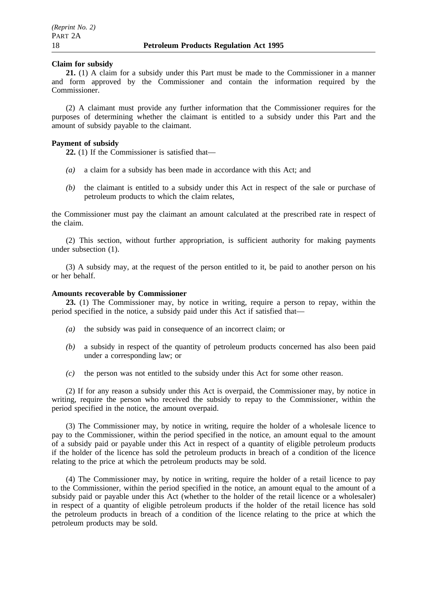#### **Claim for subsidy**

**21.** (1) A claim for a subsidy under this Part must be made to the Commissioner in a manner and form approved by the Commissioner and contain the information required by the Commissioner.

(2) A claimant must provide any further information that the Commissioner requires for the purposes of determining whether the claimant is entitled to a subsidy under this Part and the amount of subsidy payable to the claimant.

#### **Payment of subsidy**

**22.** (1) If the Commissioner is satisfied that—

- *(a)* a claim for a subsidy has been made in accordance with this Act; and
- *(b)* the claimant is entitled to a subsidy under this Act in respect of the sale or purchase of petroleum products to which the claim relates,

the Commissioner must pay the claimant an amount calculated at the prescribed rate in respect of the claim.

(2) This section, without further appropriation, is sufficient authority for making payments under subsection (1).

(3) A subsidy may, at the request of the person entitled to it, be paid to another person on his or her behalf.

# **Amounts recoverable by Commissioner**

**23.** (1) The Commissioner may, by notice in writing, require a person to repay, within the period specified in the notice, a subsidy paid under this Act if satisfied that—

- *(a)* the subsidy was paid in consequence of an incorrect claim; or
- *(b)* a subsidy in respect of the quantity of petroleum products concerned has also been paid under a corresponding law; or
- *(c)* the person was not entitled to the subsidy under this Act for some other reason.

(2) If for any reason a subsidy under this Act is overpaid, the Commissioner may, by notice in writing, require the person who received the subsidy to repay to the Commissioner, within the period specified in the notice, the amount overpaid.

(3) The Commissioner may, by notice in writing, require the holder of a wholesale licence to pay to the Commissioner, within the period specified in the notice, an amount equal to the amount of a subsidy paid or payable under this Act in respect of a quantity of eligible petroleum products if the holder of the licence has sold the petroleum products in breach of a condition of the licence relating to the price at which the petroleum products may be sold.

(4) The Commissioner may, by notice in writing, require the holder of a retail licence to pay to the Commissioner, within the period specified in the notice, an amount equal to the amount of a subsidy paid or payable under this Act (whether to the holder of the retail licence or a wholesaler) in respect of a quantity of eligible petroleum products if the holder of the retail licence has sold the petroleum products in breach of a condition of the licence relating to the price at which the petroleum products may be sold.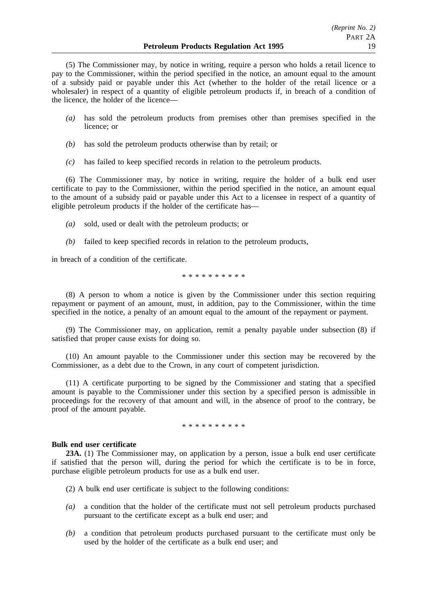(5) The Commissioner may, by notice in writing, require a person who holds a retail licence to pay to the Commissioner, within the period specified in the notice, an amount equal to the amount of a subsidy paid or payable under this Act (whether to the holder of the retail licence or a wholesaler) in respect of a quantity of eligible petroleum products if, in breach of a condition of the licence, the holder of the licence—

- *(a)* has sold the petroleum products from premises other than premises specified in the licence; or
- *(b)* has sold the petroleum products otherwise than by retail; or
- *(c)* has failed to keep specified records in relation to the petroleum products.

(6) The Commissioner may, by notice in writing, require the holder of a bulk end user certificate to pay to the Commissioner, within the period specified in the notice, an amount equal to the amount of a subsidy paid or payable under this Act to a licensee in respect of a quantity of eligible petroleum products if the holder of the certificate has—

- *(a)* sold, used or dealt with the petroleum products; or
- *(b)* failed to keep specified records in relation to the petroleum products,

in breach of a condition of the certificate.

\*\*\*\*\*\*\*\*\*\*

(8) A person to whom a notice is given by the Commissioner under this section requiring repayment or payment of an amount, must, in addition, pay to the Commissioner, within the time specified in the notice, a penalty of an amount equal to the amount of the repayment or payment.

(9) The Commissioner may, on application, remit a penalty payable under subsection (8) if satisfied that proper cause exists for doing so.

(10) An amount payable to the Commissioner under this section may be recovered by the Commissioner, as a debt due to the Crown, in any court of competent jurisdiction.

(11) A certificate purporting to be signed by the Commissioner and stating that a specified amount is payable to the Commissioner under this section by a specified person is admissible in proceedings for the recovery of that amount and will, in the absence of proof to the contrary, be proof of the amount payable.

\*\*\*\*\*\*\*\*\*\*

### **Bulk end user certificate**

**23A.** (1) The Commissioner may, on application by a person, issue a bulk end user certificate if satisfied that the person will, during the period for which the certificate is to be in force, purchase eligible petroleum products for use as a bulk end user.

(2) A bulk end user certificate is subject to the following conditions:

- *(a)* a condition that the holder of the certificate must not sell petroleum products purchased pursuant to the certificate except as a bulk end user; and
- *(b)* a condition that petroleum products purchased pursuant to the certificate must only be used by the holder of the certificate as a bulk end user; and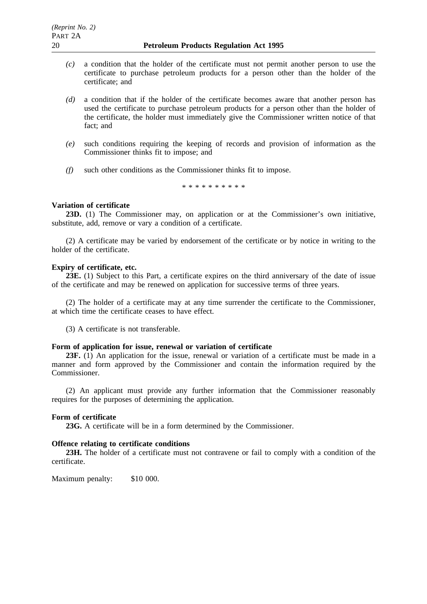- *(c)* a condition that the holder of the certificate must not permit another person to use the certificate to purchase petroleum products for a person other than the holder of the certificate; and
- *(d)* a condition that if the holder of the certificate becomes aware that another person has used the certificate to purchase petroleum products for a person other than the holder of the certificate, the holder must immediately give the Commissioner written notice of that fact; and
- *(e)* such conditions requiring the keeping of records and provision of information as the Commissioner thinks fit to impose; and
- *(f)* such other conditions as the Commissioner thinks fit to impose.

\*\*\*\*\*\*\*\*\*\*

# **Variation of certificate**

**23D.** (1) The Commissioner may, on application or at the Commissioner's own initiative, substitute, add, remove or vary a condition of a certificate.

(2) A certificate may be varied by endorsement of the certificate or by notice in writing to the holder of the certificate.

### **Expiry of certificate, etc.**

**23E.** (1) Subject to this Part, a certificate expires on the third anniversary of the date of issue of the certificate and may be renewed on application for successive terms of three years.

(2) The holder of a certificate may at any time surrender the certificate to the Commissioner, at which time the certificate ceases to have effect.

(3) A certificate is not transferable.

### **Form of application for issue, renewal or variation of certificate**

23F. (1) An application for the issue, renewal or variation of a certificate must be made in a manner and form approved by the Commissioner and contain the information required by the Commissioner.

(2) An applicant must provide any further information that the Commissioner reasonably requires for the purposes of determining the application.

### **Form of certificate**

**23G.** A certificate will be in a form determined by the Commissioner.

## **Offence relating to certificate conditions**

**23H.** The holder of a certificate must not contravene or fail to comply with a condition of the certificate.

Maximum penalty: \$10 000.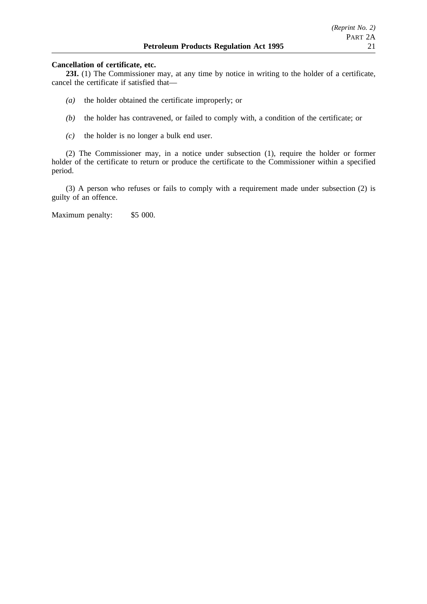## **Cancellation of certificate, etc.**

**23I.** (1) The Commissioner may, at any time by notice in writing to the holder of a certificate, cancel the certificate if satisfied that—

- *(a)* the holder obtained the certificate improperly; or
- *(b)* the holder has contravened, or failed to comply with, a condition of the certificate; or
- *(c)* the holder is no longer a bulk end user.

(2) The Commissioner may, in a notice under subsection (1), require the holder or former holder of the certificate to return or produce the certificate to the Commissioner within a specified period.

(3) A person who refuses or fails to comply with a requirement made under subsection (2) is guilty of an offence.

Maximum penalty: \$5 000.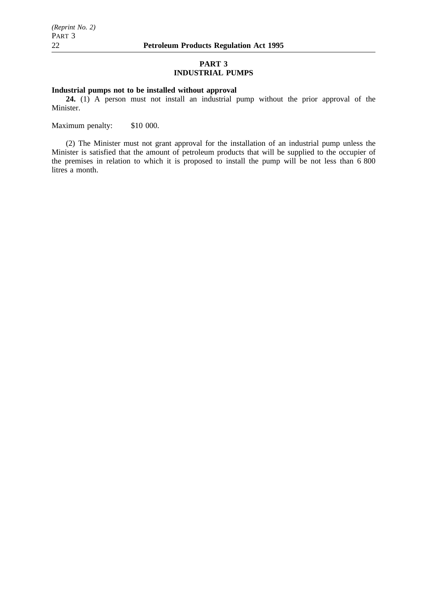# **PART 3 INDUSTRIAL PUMPS**

# **Industrial pumps not to be installed without approval**

**24.** (1) A person must not install an industrial pump without the prior approval of the Minister.

Maximum penalty: \$10 000.

(2) The Minister must not grant approval for the installation of an industrial pump unless the Minister is satisfied that the amount of petroleum products that will be supplied to the occupier of the premises in relation to which it is proposed to install the pump will be not less than 6 800 litres a month.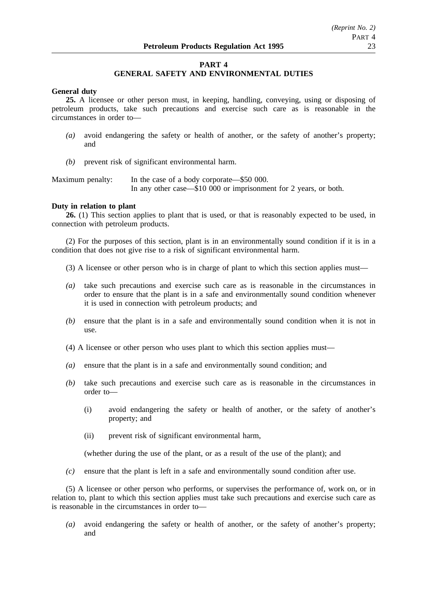# **PART 4**

# **GENERAL SAFETY AND ENVIRONMENTAL DUTIES**

## **General duty**

**25.** A licensee or other person must, in keeping, handling, conveying, using or disposing of petroleum products, take such precautions and exercise such care as is reasonable in the circumstances in order to—

- *(a)* avoid endangering the safety or health of another, or the safety of another's property; and
- *(b)* prevent risk of significant environmental harm.

Maximum penalty: In the case of a body corporate—\$50 000. In any other case—\$10 000 or imprisonment for 2 years, or both.

#### **Duty in relation to plant**

**26.** (1) This section applies to plant that is used, or that is reasonably expected to be used, in connection with petroleum products.

(2) For the purposes of this section, plant is in an environmentally sound condition if it is in a condition that does not give rise to a risk of significant environmental harm.

- (3) A licensee or other person who is in charge of plant to which this section applies must—
- *(a)* take such precautions and exercise such care as is reasonable in the circumstances in order to ensure that the plant is in a safe and environmentally sound condition whenever it is used in connection with petroleum products; and
- *(b)* ensure that the plant is in a safe and environmentally sound condition when it is not in use.
- (4) A licensee or other person who uses plant to which this section applies must—
- *(a)* ensure that the plant is in a safe and environmentally sound condition; and
- *(b)* take such precautions and exercise such care as is reasonable in the circumstances in order to—
	- (i) avoid endangering the safety or health of another, or the safety of another's property; and
	- (ii) prevent risk of significant environmental harm,

(whether during the use of the plant, or as a result of the use of the plant); and

*(c)* ensure that the plant is left in a safe and environmentally sound condition after use.

(5) A licensee or other person who performs, or supervises the performance of, work on, or in relation to, plant to which this section applies must take such precautions and exercise such care as is reasonable in the circumstances in order to—

*(a)* avoid endangering the safety or health of another, or the safety of another's property; and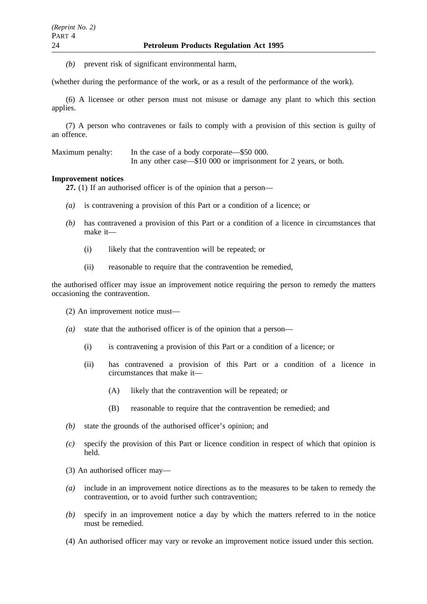*(b)* prevent risk of significant environmental harm,

(whether during the performance of the work, or as a result of the performance of the work).

(6) A licensee or other person must not misuse or damage any plant to which this section applies.

(7) A person who contravenes or fails to comply with a provision of this section is guilty of an offence.

Maximum penalty: In the case of a body corporate—\$50 000. In any other case—\$10 000 or imprisonment for 2 years, or both.

### **Improvement notices**

27. (1) If an authorised officer is of the opinion that a person—

- *(a)* is contravening a provision of this Part or a condition of a licence; or
- *(b)* has contravened a provision of this Part or a condition of a licence in circumstances that make it—
	- (i) likely that the contravention will be repeated; or
	- (ii) reasonable to require that the contravention be remedied,

the authorised officer may issue an improvement notice requiring the person to remedy the matters occasioning the contravention.

(2) An improvement notice must—

- *(a)* state that the authorised officer is of the opinion that a person—
	- (i) is contravening a provision of this Part or a condition of a licence; or
	- (ii) has contravened a provision of this Part or a condition of a licence in circumstances that make it—
		- (A) likely that the contravention will be repeated; or
		- (B) reasonable to require that the contravention be remedied; and
- *(b)* state the grounds of the authorised officer's opinion; and
- *(c)* specify the provision of this Part or licence condition in respect of which that opinion is held.
- (3) An authorised officer may—
- *(a)* include in an improvement notice directions as to the measures to be taken to remedy the contravention, or to avoid further such contravention;
- *(b)* specify in an improvement notice a day by which the matters referred to in the notice must be remedied.
- (4) An authorised officer may vary or revoke an improvement notice issued under this section.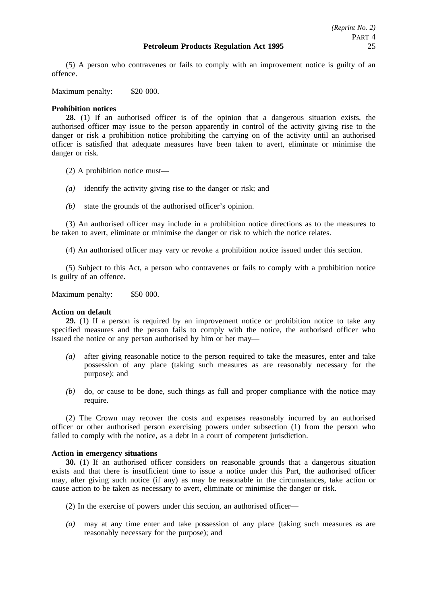(5) A person who contravenes or fails to comply with an improvement notice is guilty of an offence.

Maximum penalty: \$20 000.

# **Prohibition notices**

**28.** (1) If an authorised officer is of the opinion that a dangerous situation exists, the authorised officer may issue to the person apparently in control of the activity giving rise to the danger or risk a prohibition notice prohibiting the carrying on of the activity until an authorised officer is satisfied that adequate measures have been taken to avert, eliminate or minimise the danger or risk.

(2) A prohibition notice must—

- *(a)* identify the activity giving rise to the danger or risk; and
- *(b)* state the grounds of the authorised officer's opinion.

(3) An authorised officer may include in a prohibition notice directions as to the measures to be taken to avert, eliminate or minimise the danger or risk to which the notice relates.

(4) An authorised officer may vary or revoke a prohibition notice issued under this section.

(5) Subject to this Act, a person who contravenes or fails to comply with a prohibition notice is guilty of an offence.

Maximum penalty: \$50 000.

### **Action on default**

**29.** (1) If a person is required by an improvement notice or prohibition notice to take any specified measures and the person fails to comply with the notice, the authorised officer who issued the notice or any person authorised by him or her may—

- *(a)* after giving reasonable notice to the person required to take the measures, enter and take possession of any place (taking such measures as are reasonably necessary for the purpose); and
- *(b)* do, or cause to be done, such things as full and proper compliance with the notice may require.

(2) The Crown may recover the costs and expenses reasonably incurred by an authorised officer or other authorised person exercising powers under subsection (1) from the person who failed to comply with the notice, as a debt in a court of competent jurisdiction.

# **Action in emergency situations**

**30.** (1) If an authorised officer considers on reasonable grounds that a dangerous situation exists and that there is insufficient time to issue a notice under this Part, the authorised officer may, after giving such notice (if any) as may be reasonable in the circumstances, take action or cause action to be taken as necessary to avert, eliminate or minimise the danger or risk.

(2) In the exercise of powers under this section, an authorised officer—

*(a)* may at any time enter and take possession of any place (taking such measures as are reasonably necessary for the purpose); and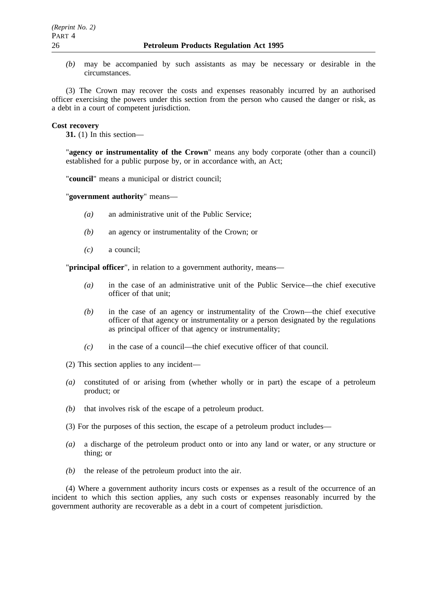*(b)* may be accompanied by such assistants as may be necessary or desirable in the circumstances.

(3) The Crown may recover the costs and expenses reasonably incurred by an authorised officer exercising the powers under this section from the person who caused the danger or risk, as a debt in a court of competent jurisdiction.

## **Cost recovery**

**31.** (1) In this section—

"**agency or instrumentality of the Crown**" means any body corporate (other than a council) established for a public purpose by, or in accordance with, an Act;

"**council**" means a municipal or district council;

"**government authority**" means—

- *(a)* an administrative unit of the Public Service;
- *(b)* an agency or instrumentality of the Crown; or
- *(c)* a council;

"**principal officer**", in relation to a government authority, means—

- *(a)* in the case of an administrative unit of the Public Service—the chief executive officer of that unit;
- *(b)* in the case of an agency or instrumentality of the Crown—the chief executive officer of that agency or instrumentality or a person designated by the regulations as principal officer of that agency or instrumentality;
- *(c)* in the case of a council—the chief executive officer of that council.
- (2) This section applies to any incident—
- *(a)* constituted of or arising from (whether wholly or in part) the escape of a petroleum product; or
- *(b)* that involves risk of the escape of a petroleum product.

(3) For the purposes of this section, the escape of a petroleum product includes—

- *(a)* a discharge of the petroleum product onto or into any land or water, or any structure or thing; or
- *(b)* the release of the petroleum product into the air.

(4) Where a government authority incurs costs or expenses as a result of the occurrence of an incident to which this section applies, any such costs or expenses reasonably incurred by the government authority are recoverable as a debt in a court of competent jurisdiction.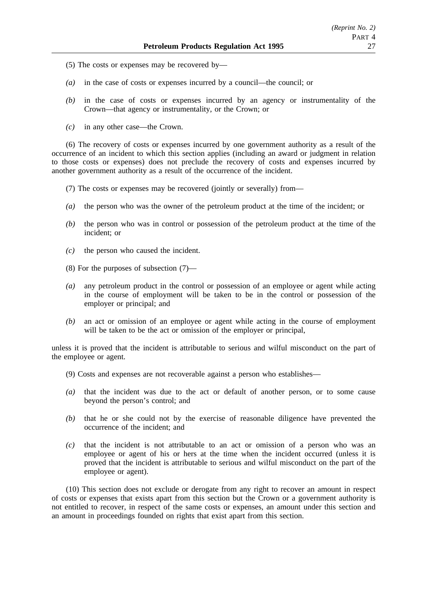- (5) The costs or expenses may be recovered by—
- *(a)* in the case of costs or expenses incurred by a council—the council; or
- *(b)* in the case of costs or expenses incurred by an agency or instrumentality of the Crown—that agency or instrumentality, or the Crown; or
- *(c)* in any other case—the Crown.

(6) The recovery of costs or expenses incurred by one government authority as a result of the occurrence of an incident to which this section applies (including an award or judgment in relation to those costs or expenses) does not preclude the recovery of costs and expenses incurred by another government authority as a result of the occurrence of the incident.

(7) The costs or expenses may be recovered (jointly or severally) from—

- *(a)* the person who was the owner of the petroleum product at the time of the incident; or
- *(b)* the person who was in control or possession of the petroleum product at the time of the incident; or
- *(c)* the person who caused the incident.
- (8) For the purposes of subsection (7)—
- *(a)* any petroleum product in the control or possession of an employee or agent while acting in the course of employment will be taken to be in the control or possession of the employer or principal; and
- *(b)* an act or omission of an employee or agent while acting in the course of employment will be taken to be the act or omission of the employer or principal,

unless it is proved that the incident is attributable to serious and wilful misconduct on the part of the employee or agent.

- (9) Costs and expenses are not recoverable against a person who establishes—
- *(a)* that the incident was due to the act or default of another person, or to some cause beyond the person's control; and
- *(b)* that he or she could not by the exercise of reasonable diligence have prevented the occurrence of the incident; and
- *(c)* that the incident is not attributable to an act or omission of a person who was an employee or agent of his or hers at the time when the incident occurred (unless it is proved that the incident is attributable to serious and wilful misconduct on the part of the employee or agent).

(10) This section does not exclude or derogate from any right to recover an amount in respect of costs or expenses that exists apart from this section but the Crown or a government authority is not entitled to recover, in respect of the same costs or expenses, an amount under this section and an amount in proceedings founded on rights that exist apart from this section.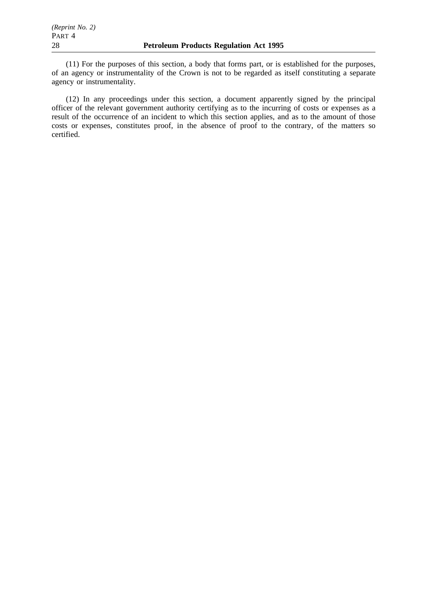(11) For the purposes of this section, a body that forms part, or is established for the purposes, of an agency or instrumentality of the Crown is not to be regarded as itself constituting a separate agency or instrumentality.

(12) In any proceedings under this section, a document apparently signed by the principal officer of the relevant government authority certifying as to the incurring of costs or expenses as a result of the occurrence of an incident to which this section applies, and as to the amount of those costs or expenses, constitutes proof, in the absence of proof to the contrary, of the matters so certified.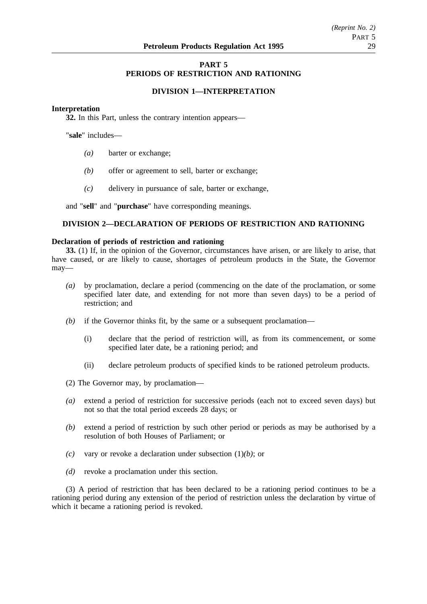# **PART 5 PERIODS OF RESTRICTION AND RATIONING**

## **DIVISION 1—INTERPRETATION**

#### **Interpretation**

**32.** In this Part, unless the contrary intention appears—

"**sale**" includes—

- *(a)* barter or exchange;
- *(b)* offer or agreement to sell, barter or exchange;
- *(c)* delivery in pursuance of sale, barter or exchange,

and "**sell**" and "**purchase**" have corresponding meanings.

# **DIVISION 2—DECLARATION OF PERIODS OF RESTRICTION AND RATIONING**

#### **Declaration of periods of restriction and rationing**

**33.** (1) If, in the opinion of the Governor, circumstances have arisen, or are likely to arise, that have caused, or are likely to cause, shortages of petroleum products in the State, the Governor may—

- *(a)* by proclamation, declare a period (commencing on the date of the proclamation, or some specified later date, and extending for not more than seven days) to be a period of restriction; and
- *(b)* if the Governor thinks fit, by the same or a subsequent proclamation—
	- (i) declare that the period of restriction will, as from its commencement, or some specified later date, be a rationing period; and
	- (ii) declare petroleum products of specified kinds to be rationed petroleum products.

(2) The Governor may, by proclamation—

- *(a)* extend a period of restriction for successive periods (each not to exceed seven days) but not so that the total period exceeds 28 days; or
- *(b)* extend a period of restriction by such other period or periods as may be authorised by a resolution of both Houses of Parliament; or
- *(c)* vary or revoke a declaration under subsection (1)*(b)*; or
- *(d)* revoke a proclamation under this section.

(3) A period of restriction that has been declared to be a rationing period continues to be a rationing period during any extension of the period of restriction unless the declaration by virtue of which it became a rationing period is revoked.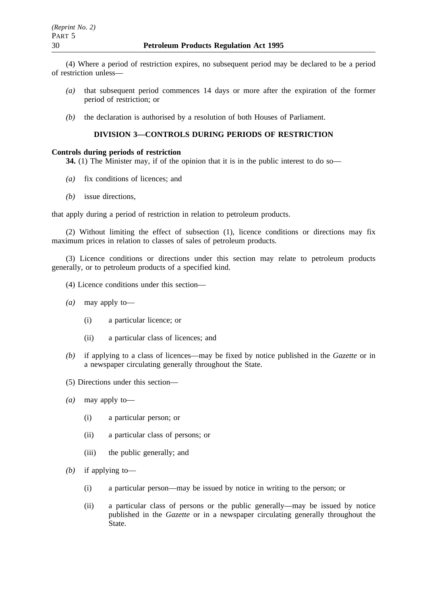(4) Where a period of restriction expires, no subsequent period may be declared to be a period of restriction unless—

- *(a)* that subsequent period commences 14 days or more after the expiration of the former period of restriction; or
- *(b)* the declaration is authorised by a resolution of both Houses of Parliament.

# **DIVISION 3—CONTROLS DURING PERIODS OF RESTRICTION**

## **Controls during periods of restriction**

**34.** (1) The Minister may, if of the opinion that it is in the public interest to do so—

- *(a)* fix conditions of licences; and
- *(b)* issue directions,

that apply during a period of restriction in relation to petroleum products.

(2) Without limiting the effect of subsection (1), licence conditions or directions may fix maximum prices in relation to classes of sales of petroleum products.

(3) Licence conditions or directions under this section may relate to petroleum products generally, or to petroleum products of a specified kind.

- (4) Licence conditions under this section—
- *(a)* may apply to—
	- (i) a particular licence; or
	- (ii) a particular class of licences; and
- *(b)* if applying to a class of licences—may be fixed by notice published in the *Gazette* or in a newspaper circulating generally throughout the State.
- (5) Directions under this section—
- *(a)* may apply to—
	- (i) a particular person; or
	- (ii) a particular class of persons; or
	- (iii) the public generally; and
- *(b)* if applying to—
	- (i) a particular person—may be issued by notice in writing to the person; or
	- (ii) a particular class of persons or the public generally—may be issued by notice published in the *Gazette* or in a newspaper circulating generally throughout the State.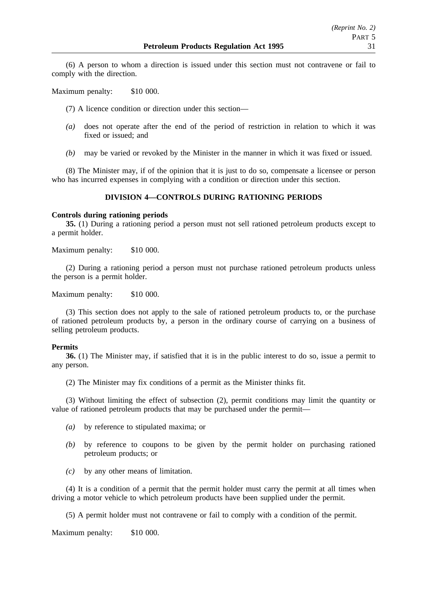(6) A person to whom a direction is issued under this section must not contravene or fail to comply with the direction.

Maximum penalty: \$10 000.

(7) A licence condition or direction under this section—

- *(a)* does not operate after the end of the period of restriction in relation to which it was fixed or issued; and
- *(b)* may be varied or revoked by the Minister in the manner in which it was fixed or issued.

(8) The Minister may, if of the opinion that it is just to do so, compensate a licensee or person who has incurred expenses in complying with a condition or direction under this section.

# **DIVISION 4—CONTROLS DURING RATIONING PERIODS**

### **Controls during rationing periods**

**35.** (1) During a rationing period a person must not sell rationed petroleum products except to a permit holder.

Maximum penalty: \$10 000.

(2) During a rationing period a person must not purchase rationed petroleum products unless the person is a permit holder.

Maximum penalty: \$10 000.

(3) This section does not apply to the sale of rationed petroleum products to, or the purchase of rationed petroleum products by, a person in the ordinary course of carrying on a business of selling petroleum products.

### **Permits**

**36.** (1) The Minister may, if satisfied that it is in the public interest to do so, issue a permit to any person.

(2) The Minister may fix conditions of a permit as the Minister thinks fit.

(3) Without limiting the effect of subsection (2), permit conditions may limit the quantity or value of rationed petroleum products that may be purchased under the permit—

- *(a)* by reference to stipulated maxima; or
- *(b)* by reference to coupons to be given by the permit holder on purchasing rationed petroleum products; or
- *(c)* by any other means of limitation.

(4) It is a condition of a permit that the permit holder must carry the permit at all times when driving a motor vehicle to which petroleum products have been supplied under the permit.

(5) A permit holder must not contravene or fail to comply with a condition of the permit.

Maximum penalty: \$10 000.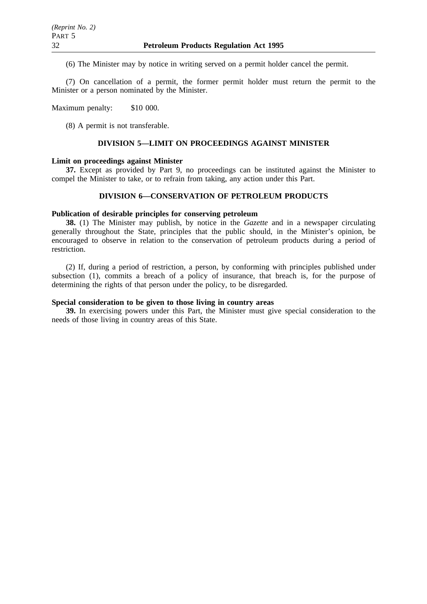(6) The Minister may by notice in writing served on a permit holder cancel the permit.

(7) On cancellation of a permit, the former permit holder must return the permit to the Minister or a person nominated by the Minister.

Maximum penalty: \$10 000.

(8) A permit is not transferable.

### **DIVISION 5—LIMIT ON PROCEEDINGS AGAINST MINISTER**

### **Limit on proceedings against Minister**

**37.** Except as provided by Part 9, no proceedings can be instituted against the Minister to compel the Minister to take, or to refrain from taking, any action under this Part.

### **DIVISION 6—CONSERVATION OF PETROLEUM PRODUCTS**

### **Publication of desirable principles for conserving petroleum**

**38.** (1) The Minister may publish, by notice in the *Gazette* and in a newspaper circulating generally throughout the State, principles that the public should, in the Minister's opinion, be encouraged to observe in relation to the conservation of petroleum products during a period of restriction.

(2) If, during a period of restriction, a person, by conforming with principles published under subsection (1), commits a breach of a policy of insurance, that breach is, for the purpose of determining the rights of that person under the policy, to be disregarded.

# **Special consideration to be given to those living in country areas**

**39.** In exercising powers under this Part, the Minister must give special consideration to the needs of those living in country areas of this State.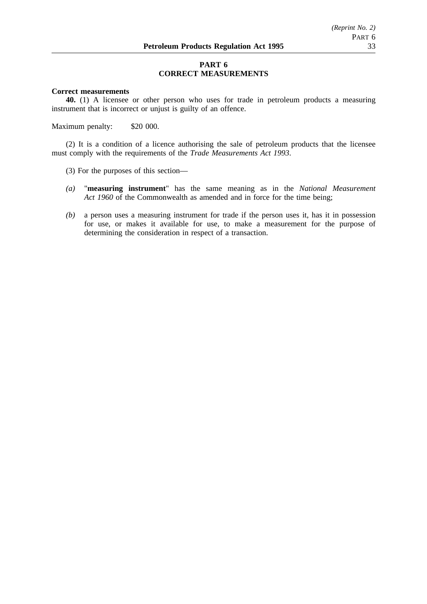# **PART 6 CORRECT MEASUREMENTS**

## **Correct measurements**

**40.** (1) A licensee or other person who uses for trade in petroleum products a measuring instrument that is incorrect or unjust is guilty of an offence.

Maximum penalty: \$20 000.

(2) It is a condition of a licence authorising the sale of petroleum products that the licensee must comply with the requirements of the *Trade Measurements Act 1993*.

- (3) For the purposes of this section—
- *(a)* "**measuring instrument**" has the same meaning as in the *National Measurement Act 1960* of the Commonwealth as amended and in force for the time being;
- *(b)* a person uses a measuring instrument for trade if the person uses it, has it in possession for use, or makes it available for use, to make a measurement for the purpose of determining the consideration in respect of a transaction.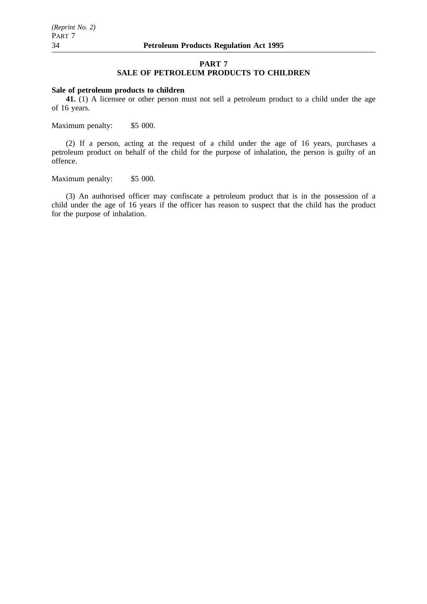#### **PART 7**

# **SALE OF PETROLEUM PRODUCTS TO CHILDREN**

# **Sale of petroleum products to children**

**41.** (1) A licensee or other person must not sell a petroleum product to a child under the age of 16 years.

Maximum penalty: \$5 000.

(2) If a person, acting at the request of a child under the age of 16 years, purchases a petroleum product on behalf of the child for the purpose of inhalation, the person is guilty of an offence.

Maximum penalty: \$5 000.

(3) An authorised officer may confiscate a petroleum product that is in the possession of a child under the age of 16 years if the officer has reason to suspect that the child has the product for the purpose of inhalation.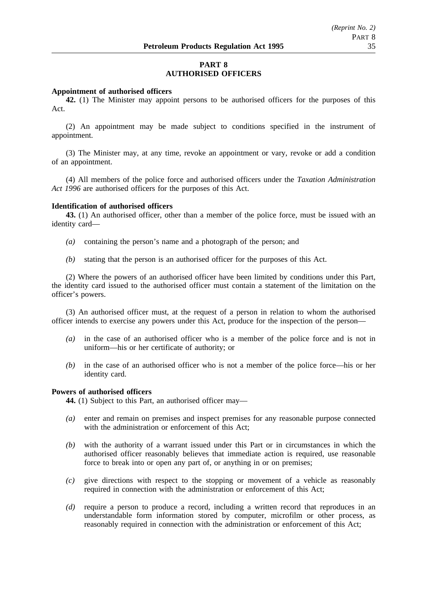# **PART 8 AUTHORISED OFFICERS**

#### **Appointment of authorised officers**

**42.** (1) The Minister may appoint persons to be authorised officers for the purposes of this Act.

(2) An appointment may be made subject to conditions specified in the instrument of appointment.

(3) The Minister may, at any time, revoke an appointment or vary, revoke or add a condition of an appointment.

(4) All members of the police force and authorised officers under the *Taxation Administration Act 1996* are authorised officers for the purposes of this Act.

#### **Identification of authorised officers**

**43.** (1) An authorised officer, other than a member of the police force, must be issued with an identity card—

- *(a)* containing the person's name and a photograph of the person; and
- *(b)* stating that the person is an authorised officer for the purposes of this Act.

(2) Where the powers of an authorised officer have been limited by conditions under this Part, the identity card issued to the authorised officer must contain a statement of the limitation on the officer's powers.

(3) An authorised officer must, at the request of a person in relation to whom the authorised officer intends to exercise any powers under this Act, produce for the inspection of the person—

- *(a)* in the case of an authorised officer who is a member of the police force and is not in uniform—his or her certificate of authority; or
- *(b)* in the case of an authorised officer who is not a member of the police force—his or her identity card.

# **Powers of authorised officers**

**44.** (1) Subject to this Part, an authorised officer may—

- *(a)* enter and remain on premises and inspect premises for any reasonable purpose connected with the administration or enforcement of this Act;
- *(b)* with the authority of a warrant issued under this Part or in circumstances in which the authorised officer reasonably believes that immediate action is required, use reasonable force to break into or open any part of, or anything in or on premises;
- *(c)* give directions with respect to the stopping or movement of a vehicle as reasonably required in connection with the administration or enforcement of this Act;
- *(d)* require a person to produce a record, including a written record that reproduces in an understandable form information stored by computer, microfilm or other process, as reasonably required in connection with the administration or enforcement of this Act;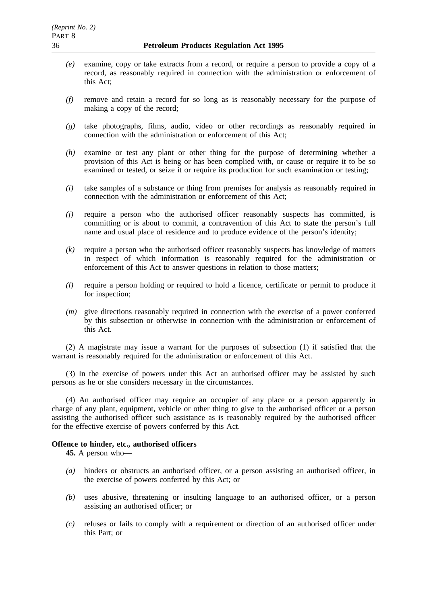- *(e)* examine, copy or take extracts from a record, or require a person to provide a copy of a record, as reasonably required in connection with the administration or enforcement of this Act;
- *(f)* remove and retain a record for so long as is reasonably necessary for the purpose of making a copy of the record;
- *(g)* take photographs, films, audio, video or other recordings as reasonably required in connection with the administration or enforcement of this Act;
- *(h)* examine or test any plant or other thing for the purpose of determining whether a provision of this Act is being or has been complied with, or cause or require it to be so examined or tested, or seize it or require its production for such examination or testing;
- *(i)* take samples of a substance or thing from premises for analysis as reasonably required in connection with the administration or enforcement of this Act;
- *(j)* require a person who the authorised officer reasonably suspects has committed, is committing or is about to commit, a contravention of this Act to state the person's full name and usual place of residence and to produce evidence of the person's identity;
- *(k)* require a person who the authorised officer reasonably suspects has knowledge of matters in respect of which information is reasonably required for the administration or enforcement of this Act to answer questions in relation to those matters;
- *(l)* require a person holding or required to hold a licence, certificate or permit to produce it for inspection;
- *(m)* give directions reasonably required in connection with the exercise of a power conferred by this subsection or otherwise in connection with the administration or enforcement of this Act.

(2) A magistrate may issue a warrant for the purposes of subsection (1) if satisfied that the warrant is reasonably required for the administration or enforcement of this Act.

(3) In the exercise of powers under this Act an authorised officer may be assisted by such persons as he or she considers necessary in the circumstances.

(4) An authorised officer may require an occupier of any place or a person apparently in charge of any plant, equipment, vehicle or other thing to give to the authorised officer or a person assisting the authorised officer such assistance as is reasonably required by the authorised officer for the effective exercise of powers conferred by this Act.

### **Offence to hinder, etc., authorised officers**

**45.** A person who—

- *(a)* hinders or obstructs an authorised officer, or a person assisting an authorised officer, in the exercise of powers conferred by this Act; or
- *(b)* uses abusive, threatening or insulting language to an authorised officer, or a person assisting an authorised officer; or
- *(c)* refuses or fails to comply with a requirement or direction of an authorised officer under this Part; or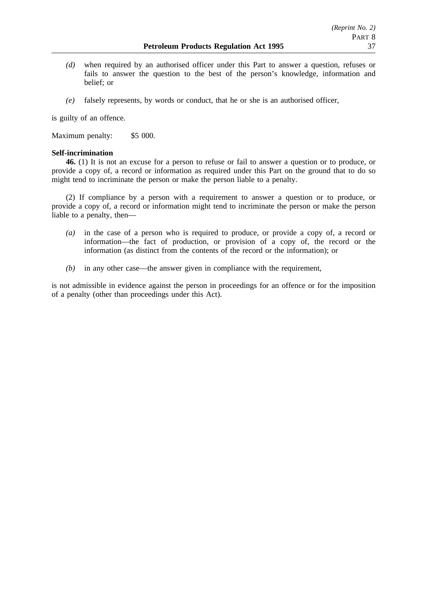- *(d)* when required by an authorised officer under this Part to answer a question, refuses or fails to answer the question to the best of the person's knowledge, information and belief; or
- *(e)* falsely represents, by words or conduct, that he or she is an authorised officer,

is guilty of an offence.

Maximum penalty: \$5 000.

# **Self-incrimination**

**46.** (1) It is not an excuse for a person to refuse or fail to answer a question or to produce, or provide a copy of, a record or information as required under this Part on the ground that to do so might tend to incriminate the person or make the person liable to a penalty.

(2) If compliance by a person with a requirement to answer a question or to produce, or provide a copy of, a record or information might tend to incriminate the person or make the person liable to a penalty, then—

- *(a)* in the case of a person who is required to produce, or provide a copy of, a record or information—the fact of production, or provision of a copy of, the record or the information (as distinct from the contents of the record or the information); or
- *(b)* in any other case—the answer given in compliance with the requirement,

is not admissible in evidence against the person in proceedings for an offence or for the imposition of a penalty (other than proceedings under this Act).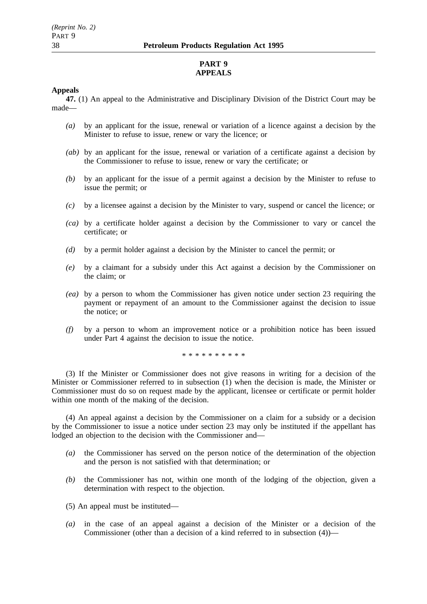# **PART 9 APPEALS**

## **Appeals**

**47.** (1) An appeal to the Administrative and Disciplinary Division of the District Court may be made—

- *(a)* by an applicant for the issue, renewal or variation of a licence against a decision by the Minister to refuse to issue, renew or vary the licence; or
- *(ab)* by an applicant for the issue, renewal or variation of a certificate against a decision by the Commissioner to refuse to issue, renew or vary the certificate; or
- *(b)* by an applicant for the issue of a permit against a decision by the Minister to refuse to issue the permit; or
- *(c)* by a licensee against a decision by the Minister to vary, suspend or cancel the licence; or
- *(ca)* by a certificate holder against a decision by the Commissioner to vary or cancel the certificate; or
- *(d)* by a permit holder against a decision by the Minister to cancel the permit; or
- *(e)* by a claimant for a subsidy under this Act against a decision by the Commissioner on the claim; or
- *(ea)* by a person to whom the Commissioner has given notice under section 23 requiring the payment or repayment of an amount to the Commissioner against the decision to issue the notice; or
- *(f)* by a person to whom an improvement notice or a prohibition notice has been issued under Part 4 against the decision to issue the notice.

\*\*\*\*\*\*\*\*\*\*

(3) If the Minister or Commissioner does not give reasons in writing for a decision of the Minister or Commissioner referred to in subsection (1) when the decision is made, the Minister or Commissioner must do so on request made by the applicant, licensee or certificate or permit holder within one month of the making of the decision.

(4) An appeal against a decision by the Commissioner on a claim for a subsidy or a decision by the Commissioner to issue a notice under section 23 may only be instituted if the appellant has lodged an objection to the decision with the Commissioner and—

- *(a)* the Commissioner has served on the person notice of the determination of the objection and the person is not satisfied with that determination; or
- *(b)* the Commissioner has not, within one month of the lodging of the objection, given a determination with respect to the objection.
- (5) An appeal must be instituted—
- *(a)* in the case of an appeal against a decision of the Minister or a decision of the Commissioner (other than a decision of a kind referred to in subsection (4))—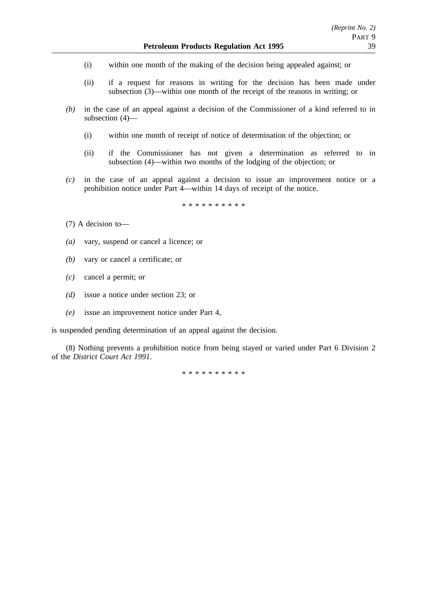- (i) within one month of the making of the decision being appealed against; or
- (ii) if a request for reasons in writing for the decision has been made under subsection (3)—within one month of the receipt of the reasons in writing; or
- *(b)* in the case of an appeal against a decision of the Commissioner of a kind referred to in subsection (4)—
	- (i) within one month of receipt of notice of determination of the objection; or
	- (ii) if the Commissioner has not given a determination as referred to in subsection (4)—within two months of the lodging of the objection; or
- *(c)* in the case of an appeal against a decision to issue an improvement notice or a prohibition notice under Part 4—within 14 days of receipt of the notice.

\*\*\*\*\*\*\*\*\*\*

- (7) A decision to—
- *(a)* vary, suspend or cancel a licence; or
- *(b)* vary or cancel a certificate; or
- *(c)* cancel a permit; or
- *(d)* issue a notice under section 23; or
- *(e)* issue an improvement notice under Part 4,

is suspended pending determination of an appeal against the decision.

(8) Nothing prevents a prohibition notice from being stayed or varied under Part 6 Division 2 of the *District Court Act 1991*.

\*\*\*\*\*\*\*\*\*\*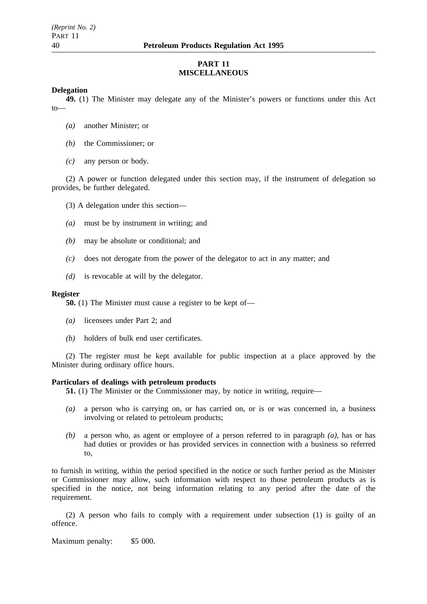# **PART 11 MISCELLANEOUS**

### **Delegation**

**49.** (1) The Minister may delegate any of the Minister's powers or functions under this Act to—

- *(a)* another Minister; or
- *(b)* the Commissioner; or
- *(c)* any person or body.

(2) A power or function delegated under this section may, if the instrument of delegation so provides, be further delegated.

(3) A delegation under this section—

- *(a)* must be by instrument in writing; and
- *(b)* may be absolute or conditional; and
- *(c)* does not derogate from the power of the delegator to act in any matter; and
- *(d)* is revocable at will by the delegator.

#### **Register**

**50.** (1) The Minister must cause a register to be kept of—

- *(a)* licensees under Part 2; and
- *(b)* holders of bulk end user certificates.

(2) The register must be kept available for public inspection at a place approved by the Minister during ordinary office hours.

### **Particulars of dealings with petroleum products**

**51.** (1) The Minister or the Commissioner may, by notice in writing, require—

- *(a)* a person who is carrying on, or has carried on, or is or was concerned in, a business involving or related to petroleum products;
- *(b)* a person who, as agent or employee of a person referred to in paragraph *(a)*, has or has had duties or provides or has provided services in connection with a business so referred to,

to furnish in writing, within the period specified in the notice or such further period as the Minister or Commissioner may allow, such information with respect to those petroleum products as is specified in the notice, not being information relating to any period after the date of the requirement.

(2) A person who fails to comply with a requirement under subsection (1) is guilty of an offence.

Maximum penalty: \$5 000.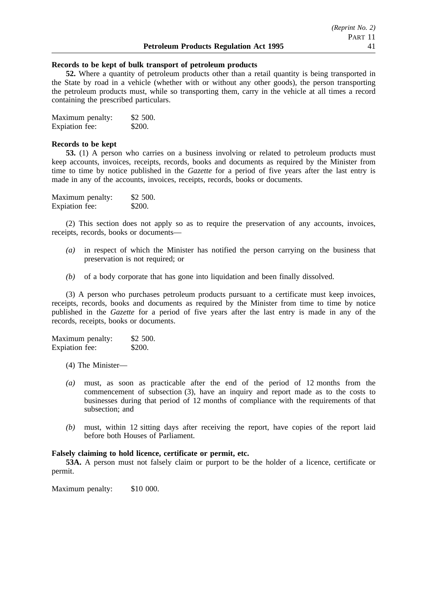#### **Records to be kept of bulk transport of petroleum products**

**52.** Where a quantity of petroleum products other than a retail quantity is being transported in the State by road in a vehicle (whether with or without any other goods), the person transporting the petroleum products must, while so transporting them, carry in the vehicle at all times a record containing the prescribed particulars.

| Maximum penalty: | \$2,500. |
|------------------|----------|
| Expiation fee:   | \$200.   |

#### **Records to be kept**

**53.** (1) A person who carries on a business involving or related to petroleum products must keep accounts, invoices, receipts, records, books and documents as required by the Minister from time to time by notice published in the *Gazette* for a period of five years after the last entry is made in any of the accounts, invoices, receipts, records, books or documents.

| Maximum penalty: | \$2,500. |
|------------------|----------|
| Expiation fee:   | \$200.   |

(2) This section does not apply so as to require the preservation of any accounts, invoices, receipts, records, books or documents—

- *(a)* in respect of which the Minister has notified the person carrying on the business that preservation is not required; or
- *(b)* of a body corporate that has gone into liquidation and been finally dissolved.

(3) A person who purchases petroleum products pursuant to a certificate must keep invoices, receipts, records, books and documents as required by the Minister from time to time by notice published in the *Gazette* for a period of five years after the last entry is made in any of the records, receipts, books or documents.

| Maximum penalty:      | \$2 500. |
|-----------------------|----------|
| <b>Expiation</b> fee: | \$200.   |

- (4) The Minister—
- *(a)* must, as soon as practicable after the end of the period of 12 months from the commencement of subsection (3), have an inquiry and report made as to the costs to businesses during that period of 12 months of compliance with the requirements of that subsection; and
- *(b)* must, within 12 sitting days after receiving the report, have copies of the report laid before both Houses of Parliament.

## **Falsely claiming to hold licence, certificate or permit, etc.**

**53A.** A person must not falsely claim or purport to be the holder of a licence, certificate or permit.

Maximum penalty: \$10 000.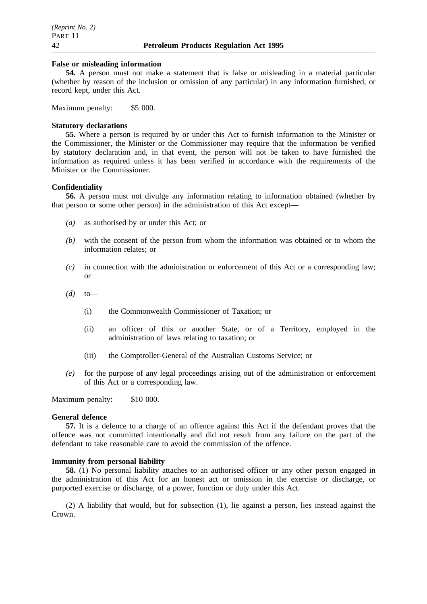#### **False or misleading information**

**54.** A person must not make a statement that is false or misleading in a material particular (whether by reason of the inclusion or omission of any particular) in any information furnished, or record kept, under this Act.

Maximum penalty: \$5 000.

#### **Statutory declarations**

**55.** Where a person is required by or under this Act to furnish information to the Minister or the Commissioner, the Minister or the Commissioner may require that the information be verified by statutory declaration and, in that event, the person will not be taken to have furnished the information as required unless it has been verified in accordance with the requirements of the Minister or the Commissioner.

#### **Confidentiality**

**56.** A person must not divulge any information relating to information obtained (whether by that person or some other person) in the administration of this Act except—

- *(a)* as authorised by or under this Act; or
- *(b)* with the consent of the person from whom the information was obtained or to whom the information relates; or
- *(c)* in connection with the administration or enforcement of this Act or a corresponding law; or
- *(d)* to—
	- (i) the Commonwealth Commissioner of Taxation; or
	- (ii) an officer of this or another State, or of a Territory, employed in the administration of laws relating to taxation; or
	- (iii) the Comptroller-General of the Australian Customs Service; or
- *(e)* for the purpose of any legal proceedings arising out of the administration or enforcement of this Act or a corresponding law.

Maximum penalty: \$10 000.

#### **General defence**

**57.** It is a defence to a charge of an offence against this Act if the defendant proves that the offence was not committed intentionally and did not result from any failure on the part of the defendant to take reasonable care to avoid the commission of the offence.

#### **Immunity from personal liability**

**58.** (1) No personal liability attaches to an authorised officer or any other person engaged in the administration of this Act for an honest act or omission in the exercise or discharge, or purported exercise or discharge, of a power, function or duty under this Act.

(2) A liability that would, but for subsection (1), lie against a person, lies instead against the Crown.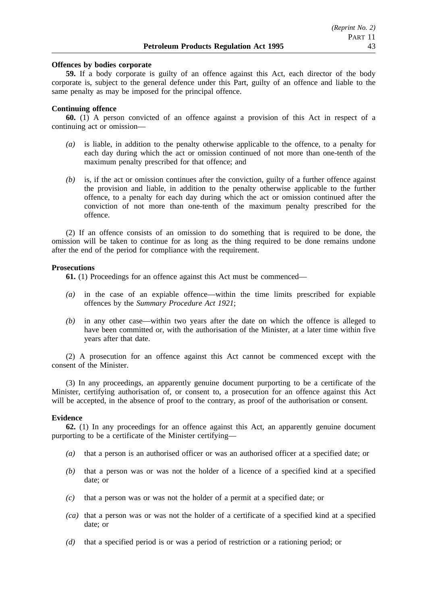#### **Offences by bodies corporate**

**59.** If a body corporate is guilty of an offence against this Act, each director of the body corporate is, subject to the general defence under this Part, guilty of an offence and liable to the same penalty as may be imposed for the principal offence.

#### **Continuing offence**

**60.** (1) A person convicted of an offence against a provision of this Act in respect of a continuing act or omission—

- *(a)* is liable, in addition to the penalty otherwise applicable to the offence, to a penalty for each day during which the act or omission continued of not more than one-tenth of the maximum penalty prescribed for that offence; and
- *(b)* is, if the act or omission continues after the conviction, guilty of a further offence against the provision and liable, in addition to the penalty otherwise applicable to the further offence, to a penalty for each day during which the act or omission continued after the conviction of not more than one-tenth of the maximum penalty prescribed for the offence.

(2) If an offence consists of an omission to do something that is required to be done, the omission will be taken to continue for as long as the thing required to be done remains undone after the end of the period for compliance with the requirement.

#### **Prosecutions**

**61.** (1) Proceedings for an offence against this Act must be commenced—

- *(a)* in the case of an expiable offence—within the time limits prescribed for expiable offences by the *Summary Procedure Act 1921*;
- *(b)* in any other case—within two years after the date on which the offence is alleged to have been committed or, with the authorisation of the Minister, at a later time within five years after that date.

(2) A prosecution for an offence against this Act cannot be commenced except with the consent of the Minister.

(3) In any proceedings, an apparently genuine document purporting to be a certificate of the Minister, certifying authorisation of, or consent to, a prosecution for an offence against this Act will be accepted, in the absence of proof to the contrary, as proof of the authorisation or consent.

### **Evidence**

**62.** (1) In any proceedings for an offence against this Act, an apparently genuine document purporting to be a certificate of the Minister certifying—

- *(a)* that a person is an authorised officer or was an authorised officer at a specified date; or
- *(b)* that a person was or was not the holder of a licence of a specified kind at a specified date; or
- *(c)* that a person was or was not the holder of a permit at a specified date; or
- *(ca)* that a person was or was not the holder of a certificate of a specified kind at a specified date; or
- *(d)* that a specified period is or was a period of restriction or a rationing period; or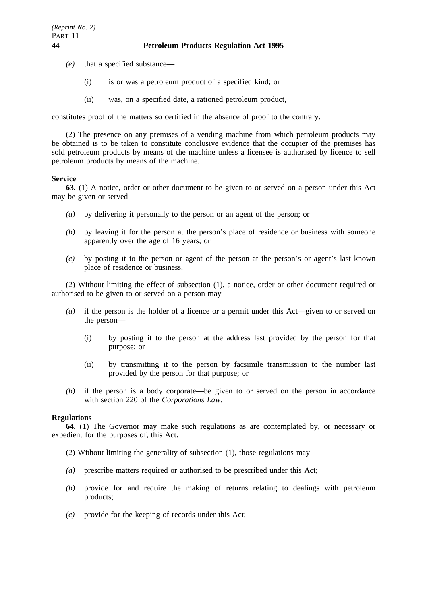- *(e)* that a specified substance—
	- (i) is or was a petroleum product of a specified kind; or
	- (ii) was, on a specified date, a rationed petroleum product,

constitutes proof of the matters so certified in the absence of proof to the contrary.

(2) The presence on any premises of a vending machine from which petroleum products may be obtained is to be taken to constitute conclusive evidence that the occupier of the premises has sold petroleum products by means of the machine unless a licensee is authorised by licence to sell petroleum products by means of the machine.

### **Service**

**63.** (1) A notice, order or other document to be given to or served on a person under this Act may be given or served—

- *(a)* by delivering it personally to the person or an agent of the person; or
- *(b)* by leaving it for the person at the person's place of residence or business with someone apparently over the age of 16 years; or
- *(c)* by posting it to the person or agent of the person at the person's or agent's last known place of residence or business.

(2) Without limiting the effect of subsection (1), a notice, order or other document required or authorised to be given to or served on a person may—

- *(a)* if the person is the holder of a licence or a permit under this Act—given to or served on the person—
	- (i) by posting it to the person at the address last provided by the person for that purpose; or
	- (ii) by transmitting it to the person by facsimile transmission to the number last provided by the person for that purpose; or
- *(b)* if the person is a body corporate—be given to or served on the person in accordance with section 220 of the *Corporations Law*.

### **Regulations**

**64.** (1) The Governor may make such regulations as are contemplated by, or necessary or expedient for the purposes of, this Act.

- (2) Without limiting the generality of subsection (1), those regulations may—
- *(a)* prescribe matters required or authorised to be prescribed under this Act;
- *(b)* provide for and require the making of returns relating to dealings with petroleum products;
- *(c)* provide for the keeping of records under this Act;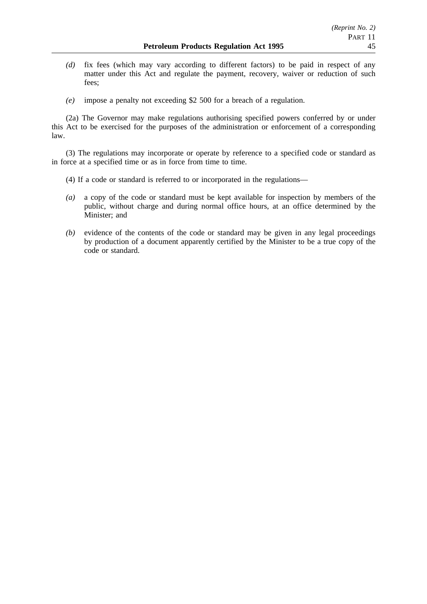- *(d)* fix fees (which may vary according to different factors) to be paid in respect of any matter under this Act and regulate the payment, recovery, waiver or reduction of such fees;
- *(e)* impose a penalty not exceeding \$2 500 for a breach of a regulation.

(2a) The Governor may make regulations authorising specified powers conferred by or under this Act to be exercised for the purposes of the administration or enforcement of a corresponding law.

(3) The regulations may incorporate or operate by reference to a specified code or standard as in force at a specified time or as in force from time to time.

- (4) If a code or standard is referred to or incorporated in the regulations—
- *(a)* a copy of the code or standard must be kept available for inspection by members of the public, without charge and during normal office hours, at an office determined by the Minister; and
- *(b)* evidence of the contents of the code or standard may be given in any legal proceedings by production of a document apparently certified by the Minister to be a true copy of the code or standard.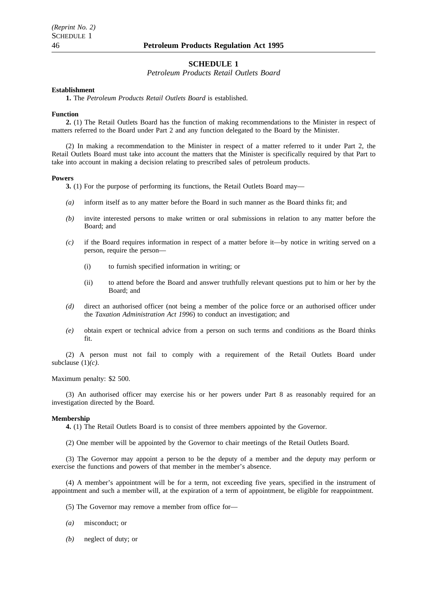#### **SCHEDULE 1**

*Petroleum Products Retail Outlets Board*

#### **Establishment**

**1.** The *Petroleum Products Retail Outlets Board* is established.

#### **Function**

**2.** (1) The Retail Outlets Board has the function of making recommendations to the Minister in respect of matters referred to the Board under Part 2 and any function delegated to the Board by the Minister.

(2) In making a recommendation to the Minister in respect of a matter referred to it under Part 2, the Retail Outlets Board must take into account the matters that the Minister is specifically required by that Part to take into account in making a decision relating to prescribed sales of petroleum products.

#### **Powers**

**3.** (1) For the purpose of performing its functions, the Retail Outlets Board may—

- *(a)* inform itself as to any matter before the Board in such manner as the Board thinks fit; and
- *(b)* invite interested persons to make written or oral submissions in relation to any matter before the Board; and
- *(c)* if the Board requires information in respect of a matter before it—by notice in writing served on a person, require the person—
	- (i) to furnish specified information in writing; or
	- (ii) to attend before the Board and answer truthfully relevant questions put to him or her by the Board; and
- *(d)* direct an authorised officer (not being a member of the police force or an authorised officer under the *Taxation Administration Act 1996*) to conduct an investigation; and
- *(e)* obtain expert or technical advice from a person on such terms and conditions as the Board thinks fit.

(2) A person must not fail to comply with a requirement of the Retail Outlets Board under subclause (1)*(c)*.

Maximum penalty: \$2 500.

(3) An authorised officer may exercise his or her powers under Part 8 as reasonably required for an investigation directed by the Board.

#### **Membership**

**4.** (1) The Retail Outlets Board is to consist of three members appointed by the Governor.

(2) One member will be appointed by the Governor to chair meetings of the Retail Outlets Board.

(3) The Governor may appoint a person to be the deputy of a member and the deputy may perform or exercise the functions and powers of that member in the member's absence.

(4) A member's appointment will be for a term, not exceeding five years, specified in the instrument of appointment and such a member will, at the expiration of a term of appointment, be eligible for reappointment.

(5) The Governor may remove a member from office for—

- *(a)* misconduct; or
- *(b)* neglect of duty; or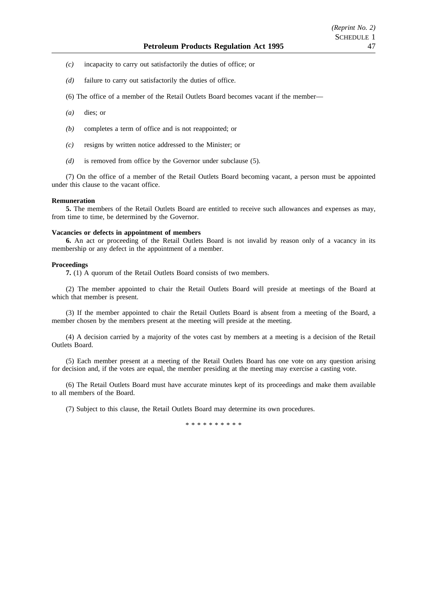- *(c)* incapacity to carry out satisfactorily the duties of office; or
- *(d)* failure to carry out satisfactorily the duties of office.
- (6) The office of a member of the Retail Outlets Board becomes vacant if the member—
- *(a)* dies; or
- *(b)* completes a term of office and is not reappointed; or
- *(c)* resigns by written notice addressed to the Minister; or
- *(d)* is removed from office by the Governor under subclause (5).

(7) On the office of a member of the Retail Outlets Board becoming vacant, a person must be appointed under this clause to the vacant office.

#### **Remuneration**

**5.** The members of the Retail Outlets Board are entitled to receive such allowances and expenses as may, from time to time, be determined by the Governor.

#### **Vacancies or defects in appointment of members**

**6.** An act or proceeding of the Retail Outlets Board is not invalid by reason only of a vacancy in its membership or any defect in the appointment of a member.

#### **Proceedings**

**7.** (1) A quorum of the Retail Outlets Board consists of two members.

(2) The member appointed to chair the Retail Outlets Board will preside at meetings of the Board at which that member is present.

(3) If the member appointed to chair the Retail Outlets Board is absent from a meeting of the Board, a member chosen by the members present at the meeting will preside at the meeting.

(4) A decision carried by a majority of the votes cast by members at a meeting is a decision of the Retail Outlets Board.

(5) Each member present at a meeting of the Retail Outlets Board has one vote on any question arising for decision and, if the votes are equal, the member presiding at the meeting may exercise a casting vote.

(6) The Retail Outlets Board must have accurate minutes kept of its proceedings and make them available to all members of the Board.

(7) Subject to this clause, the Retail Outlets Board may determine its own procedures.

\*\*\*\*\*\*\*\*\*\*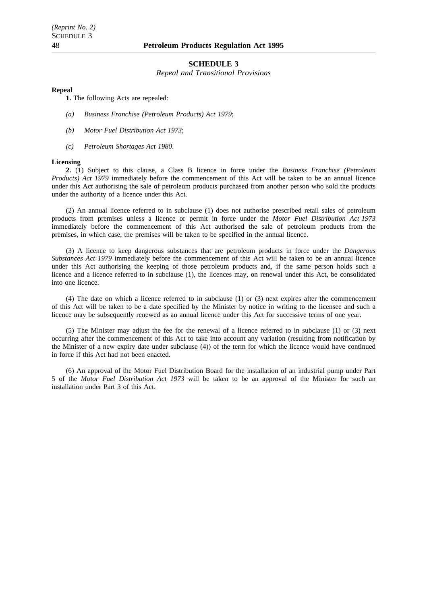#### **SCHEDULE 3**

*Repeal and Transitional Provisions*

#### **Repeal**

**1.** The following Acts are repealed:

- *(a) Business Franchise (Petroleum Products) Act 1979*;
- *(b) Motor Fuel Distribution Act 1973*;
- *(c) Petroleum Shortages Act 1980*.

#### **Licensing**

**2.** (1) Subject to this clause, a Class B licence in force under the *Business Franchise (Petroleum Products) Act 1979* immediately before the commencement of this Act will be taken to be an annual licence under this Act authorising the sale of petroleum products purchased from another person who sold the products under the authority of a licence under this Act.

(2) An annual licence referred to in subclause (1) does not authorise prescribed retail sales of petroleum products from premises unless a licence or permit in force under the *Motor Fuel Distribution Act 1973* immediately before the commencement of this Act authorised the sale of petroleum products from the premises, in which case, the premises will be taken to be specified in the annual licence.

(3) A licence to keep dangerous substances that are petroleum products in force under the *Dangerous Substances Act 1979* immediately before the commencement of this Act will be taken to be an annual licence under this Act authorising the keeping of those petroleum products and, if the same person holds such a licence and a licence referred to in subclause (1), the licences may, on renewal under this Act, be consolidated into one licence.

(4) The date on which a licence referred to in subclause (1) or (3) next expires after the commencement of this Act will be taken to be a date specified by the Minister by notice in writing to the licensee and such a licence may be subsequently renewed as an annual licence under this Act for successive terms of one year.

(5) The Minister may adjust the fee for the renewal of a licence referred to in subclause (1) or (3) next occurring after the commencement of this Act to take into account any variation (resulting from notification by the Minister of a new expiry date under subclause (4)) of the term for which the licence would have continued in force if this Act had not been enacted.

(6) An approval of the Motor Fuel Distribution Board for the installation of an industrial pump under Part 5 of the *Motor Fuel Distribution Act 1973* will be taken to be an approval of the Minister for such an installation under Part 3 of this Act.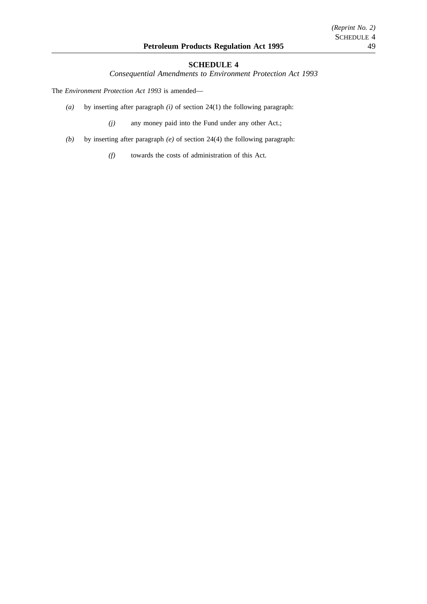# **SCHEDULE 4**

*Consequential Amendments to Environment Protection Act 1993*

The *Environment Protection Act 1993* is amended—

*(a)* by inserting after paragraph *(i)* of section 24(1) the following paragraph:

*(j)* any money paid into the Fund under any other Act.;

- *(b)* by inserting after paragraph *(e)* of section 24(4) the following paragraph:
	- *(f)* towards the costs of administration of this Act.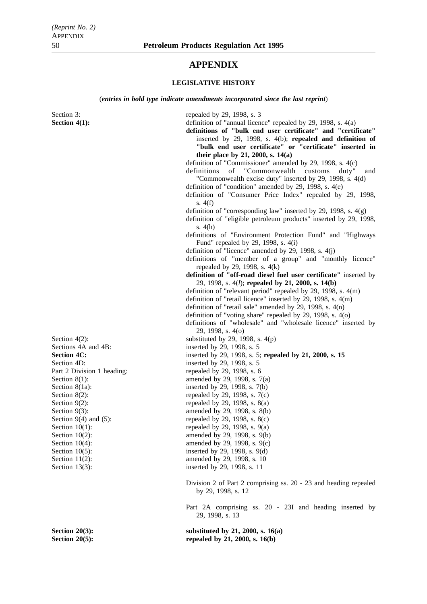# **APPENDIX**

#### **LEGISLATIVE HISTORY**

(*entries in bold type indicate amendments incorporated since the last reprint*)

Section 3: repealed by 29, 1998, s. 3 **Section 4(1):** definition of "annual licence" repealed by 29, 1998, s. 4(a) **definitions of "bulk end user certificate" and "certificate"** inserted by 29, 1998, s. 4(b); **repealed and definition of "bulk end user certificate" or "certificate" inserted in their place by 21, 2000, s. 14(a)** definition of "Commissioner" amended by 29, 1998, s. 4(c) definitions of "Commonwealth customs duty" and "Commonwealth excise duty" inserted by 29, 1998, s. 4(d) definition of "condition" amended by 29, 1998, s. 4(e) definition of "Consumer Price Index" repealed by 29, 1998, s. 4(f) definition of "corresponding law" inserted by 29, 1998, s.  $4(g)$ definition of "eligible petroleum products" inserted by 29, 1998, s. 4(h) definitions of "Environment Protection Fund" and "Highways Fund" repealed by 29, 1998, s. 4(i) definition of "licence" amended by 29, 1998, s. 4(j) definitions of "member of a group" and "monthly licence" repealed by 29, 1998, s. 4(k) **definition of "off-road diesel fuel user certificate"** inserted by 29, 1998, s. 4(*l*); **repealed by 21, 2000, s. 14(b)** definition of "relevant period" repealed by 29, 1998, s. 4(m) definition of "retail licence" inserted by 29, 1998, s. 4(m) definition of "retail sale" amended by 29, 1998, s. 4(n) definition of "voting share" repealed by 29, 1998, s. 4(o) definitions of "wholesale" and "wholesale licence" inserted by 29, 1998, s. 4(o) Section  $4(2)$ : substituted by 29, 1998, s.  $4(p)$ Sections 4A and 4B: inserted by 29, 1998, s. 5 **Section 4C:** inserted by 29, 1998, s. 5; **repealed by 21, 2000, s. 15** Section 4D: inserted by 29, 1998, s. 5 Part 2 Division 1 heading: repealed by 29, 1998, s. 6 Section  $8(1)$ : amended by 29, 1998, s.  $7(a)$ Section 8(1a): inserted by 29, 1998, s.  $7(b)$ Section 8(2): repealed by 29, 1998, s.  $7(c)$ Section  $9(2)$ : repealed by 29, 1998, s.  $8(a)$ Section 9(3): amended by 29, 1998, s. 8(b)<br>Section 9(4) and (5): repealed by 29, 1998, s. 8(c) Section 9(4) and (5): repealed by 29, 1998, s. 8(c)<br>Section 10(1): repealed by 29, 1998, s. 9(a) Section 10(1): repealed by 29, 1998, s. 9(a)<br>Section 10(2):  $\frac{10(2)}{2}$  amended by 29, 1998, s. 9(b) Section 10(2): amended by 29, 1998, s. 9(b)<br>Section 10(4): amended by 29, 1998, s. 9(c) Section 10(4): amended by 29, 1998, s. 9(c)<br>Section 10(5): inserted by 29, 1998, s. 9(d) inserted by 29, 1998, s.  $9(d)$ Section 11(2):  $\frac{1}{2}$  amended by 29, 1998, s. 10 Section 13(3): inserted by 29, 1998, s. 11 Division 2 of Part 2 comprising ss. 20 - 23 and heading repealed by 29, 1998, s. 12 Part 2A comprising ss. 20 - 23I and heading inserted by 29, 1998, s. 13 **Section 20(3):** substituted by 21, 2000, s. 16(a) **Section 20(5):** repealed by 21, 2000, s. 16(b)